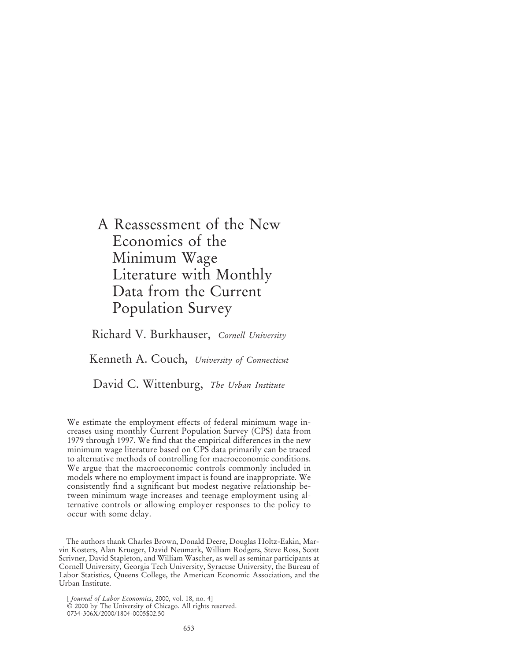# A Reassessment of the New Economics of the Minimum Wage Literature with Monthly Data from the Current Population Survey

Richard V. Burkhauser, *Cornell University*

Kenneth A. Couch, *University of Connecticut*

David C. Wittenburg, *The Urban Institute*

We estimate the employment effects of federal minimum wage increases using monthly Current Population Survey (CPS) data from 1979 through 1997. We find that the empirical differences in the new minimum wage literature based on CPS data primarily can be traced to alternative methods of controlling for macroeconomic conditions. We argue that the macroeconomic controls commonly included in models where no employment impact is found are inappropriate. We consistently find a significant but modest negative relationship between minimum wage increases and teenage employment using alternative controls or allowing employer responses to the policy to occur with some delay.

The authors thank Charles Brown, Donald Deere, Douglas Holtz-Eakin, Marvin Kosters, Alan Krueger, David Neumark, William Rodgers, Steve Ross, Scott Scrivner, David Stapleton, and William Wascher, as well as seminar participants at Cornell University, Georgia Tech University, Syracuse University, the Bureau of Labor Statistics, Queens College, the American Economic Association, and the Urban Institute.

[ *Journal of Labor Economics*, 2000, vol. 18, no. 4] © 2000 by The University of Chicago. All rights reserved. 0734-306X/2000/1804-0005\$02.50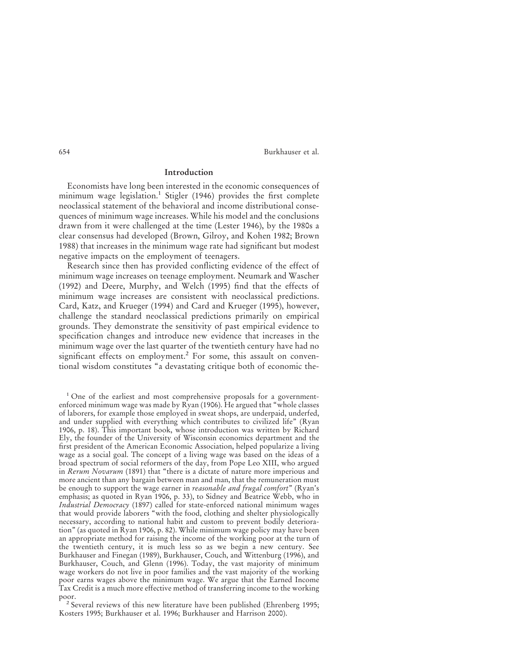#### **Introduction**

Economists have long been interested in the economic consequences of minimum wage legislation.<sup>1</sup> Stigler (1946) provides the first complete neoclassical statement of the behavioral and income distributional consequences of minimum wage increases. While his model and the conclusions drawn from it were challenged at the time (Lester 1946), by the 1980s a clear consensus had developed (Brown, Gilroy, and Kohen 1982; Brown 1988) that increases in the minimum wage rate had significant but modest negative impacts on the employment of teenagers.

Research since then has provided conflicting evidence of the effect of minimum wage increases on teenage employment. Neumark and Wascher (1992) and Deere, Murphy, and Welch (1995) find that the effects of minimum wage increases are consistent with neoclassical predictions. Card, Katz, and Krueger (1994) and Card and Krueger (1995), however, challenge the standard neoclassical predictions primarily on empirical grounds. They demonstrate the sensitivity of past empirical evidence to specification changes and introduce new evidence that increases in the minimum wage over the last quarter of the twentieth century have had no significant effects on employment.<sup>2</sup> For some, this assault on conventional wisdom constitutes "a devastating critique both of economic the-

<sup>1</sup> One of the earliest and most comprehensive proposals for a governmentenforced minimum wage was made by Ryan (1906). He argued that "whole classes of laborers, for example those employed in sweat shops, are underpaid, underfed, and under supplied with everything which contributes to civilized life" (Ryan 1906, p. 18). This important book, whose introduction was written by Richard Ely, the founder of the University of Wisconsin economics department and the first president of the American Economic Association, helped popularize a living wage as a social goal. The concept of a living wage was based on the ideas of a broad spectrum of social reformers of the day, from Pope Leo XIII, who argued in *Rerum Novarum* (1891) that "there is a dictate of nature more imperious and more ancient than any bargain between man and man, that the remuneration must be enough to support the wage earner in *reasonable and frugal comfort*" (Ryan's emphasis; as quoted in Ryan 1906, p. 33), to Sidney and Beatrice Webb, who in *Industrial Democracy* (1897) called for state-enforced national minimum wages that would provide laborers "with the food, clothing and shelter physiologically necessary, according to national habit and custom to prevent bodily deterioration" (as quoted in Ryan 1906, p. 82). While minimum wage policy may have been an appropriate method for raising the income of the working poor at the turn of the twentieth century, it is much less so as we begin a new century. See Burkhauser and Finegan (1989), Burkhauser, Couch, and Wittenburg (1996), and Burkhauser, Couch, and Glenn (1996). Today, the vast majority of minimum wage workers do not live in poor families and the vast majority of the working poor earns wages above the minimum wage. We argue that the Earned Income Tax Credit is a much more effective method of transferring income to the working poor. <sup>2</sup> Several reviews of this new literature have been published (Ehrenberg 1995;

Kosters 1995; Burkhauser et al. 1996; Burkhauser and Harrison 2000).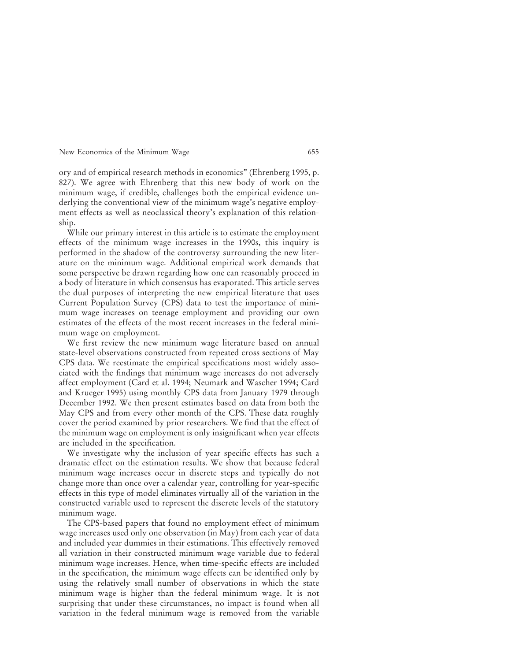ory and of empirical research methods in economics" (Ehrenberg 1995, p. 827). We agree with Ehrenberg that this new body of work on the minimum wage, if credible, challenges both the empirical evidence underlying the conventional view of the minimum wage's negative employment effects as well as neoclassical theory's explanation of this relationship.

While our primary interest in this article is to estimate the employment effects of the minimum wage increases in the 1990s, this inquiry is performed in the shadow of the controversy surrounding the new literature on the minimum wage. Additional empirical work demands that some perspective be drawn regarding how one can reasonably proceed in a body of literature in which consensus has evaporated. This article serves the dual purposes of interpreting the new empirical literature that uses Current Population Survey (CPS) data to test the importance of minimum wage increases on teenage employment and providing our own estimates of the effects of the most recent increases in the federal minimum wage on employment.

We first review the new minimum wage literature based on annual state-level observations constructed from repeated cross sections of May CPS data. We reestimate the empirical specifications most widely associated with the findings that minimum wage increases do not adversely affect employment (Card et al. 1994; Neumark and Wascher 1994; Card and Krueger 1995) using monthly CPS data from January 1979 through December 1992. We then present estimates based on data from both the May CPS and from every other month of the CPS. These data roughly cover the period examined by prior researchers. We find that the effect of the minimum wage on employment is only insignificant when year effects are included in the specification.

We investigate why the inclusion of year specific effects has such a dramatic effect on the estimation results. We show that because federal minimum wage increases occur in discrete steps and typically do not change more than once over a calendar year, controlling for year-specific effects in this type of model eliminates virtually all of the variation in the constructed variable used to represent the discrete levels of the statutory minimum wage.

The CPS-based papers that found no employment effect of minimum wage increases used only one observation (in May) from each year of data and included year dummies in their estimations. This effectively removed all variation in their constructed minimum wage variable due to federal minimum wage increases. Hence, when time-specific effects are included in the specification, the minimum wage effects can be identified only by using the relatively small number of observations in which the state minimum wage is higher than the federal minimum wage. It is not surprising that under these circumstances, no impact is found when all variation in the federal minimum wage is removed from the variable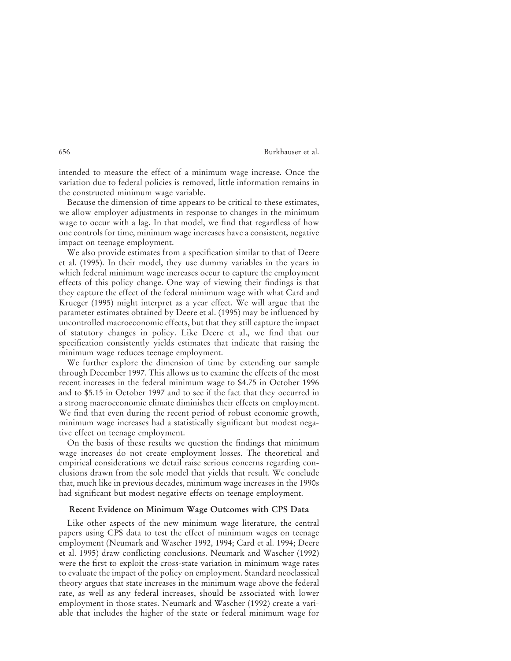intended to measure the effect of a minimum wage increase. Once the variation due to federal policies is removed, little information remains in the constructed minimum wage variable.

Because the dimension of time appears to be critical to these estimates, we allow employer adjustments in response to changes in the minimum wage to occur with a lag. In that model, we find that regardless of how one controls for time, minimum wage increases have a consistent, negative impact on teenage employment.

We also provide estimates from a specification similar to that of Deere et al. (1995). In their model, they use dummy variables in the years in which federal minimum wage increases occur to capture the employment effects of this policy change. One way of viewing their findings is that they capture the effect of the federal minimum wage with what Card and Krueger (1995) might interpret as a year effect. We will argue that the parameter estimates obtained by Deere et al. (1995) may be influenced by uncontrolled macroeconomic effects, but that they still capture the impact of statutory changes in policy. Like Deere et al., we find that our specification consistently yields estimates that indicate that raising the minimum wage reduces teenage employment.

We further explore the dimension of time by extending our sample through December 1997. This allows us to examine the effects of the most recent increases in the federal minimum wage to \$4.75 in October 1996 and to \$5.15 in October 1997 and to see if the fact that they occurred in a strong macroeconomic climate diminishes their effects on employment. We find that even during the recent period of robust economic growth, minimum wage increases had a statistically significant but modest negative effect on teenage employment.

On the basis of these results we question the findings that minimum wage increases do not create employment losses. The theoretical and empirical considerations we detail raise serious concerns regarding conclusions drawn from the sole model that yields that result. We conclude that, much like in previous decades, minimum wage increases in the 1990s had significant but modest negative effects on teenage employment.

#### **Recent Evidence on Minimum Wage Outcomes with CPS Data**

Like other aspects of the new minimum wage literature, the central papers using CPS data to test the effect of minimum wages on teenage employment (Neumark and Wascher 1992, 1994; Card et al. 1994; Deere et al. 1995) draw conflicting conclusions. Neumark and Wascher (1992) were the first to exploit the cross-state variation in minimum wage rates to evaluate the impact of the policy on employment. Standard neoclassical theory argues that state increases in the minimum wage above the federal rate, as well as any federal increases, should be associated with lower employment in those states. Neumark and Wascher (1992) create a variable that includes the higher of the state or federal minimum wage for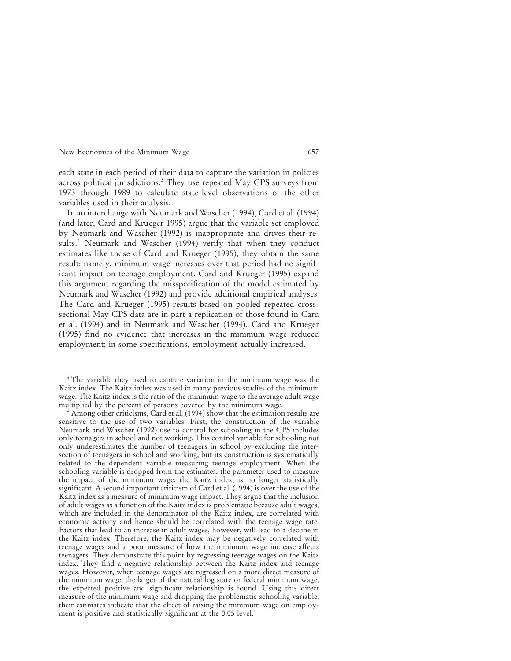each state in each period of their data to capture the variation in policies across political jurisdictions.<sup>3</sup> They use repeated May CPS surveys from 1973 through 1989 to calculate state-level observations of the other variables used in their analysis.

In an interchange with Neumark and Wascher (1994), Card et al. (1994) (and later, Card and Krueger 1995) argue that the variable set employed by Neumark and Wascher (1992) is inappropriate and drives their results.<sup>4</sup> Neumark and Wascher (1994) verify that when they conduct estimates like those of Card and Krueger (1995), they obtain the same result: namely, minimum wage increases over that period had no significant impact on teenage employment. Card and Krueger (1995) expand this argument regarding the misspecification of the model estimated by Neumark and Wascher (1992) and provide additional empirical analyses. The Card and Krueger (1995) results based on pooled repeated crosssectional May CPS data are in part a replication of those found in Card et al. (1994) and in Neumark and Wascher (1994). Card and Krueger (1995) find no evidence that increases in the minimum wage reduced employment; in some specifications, employment actually increased.

<sup>3</sup> The variable they used to capture variation in the minimum wage was the Kaitz index. The Kaitz index was used in many previous studies of the minimum wage. The Kaitz index is the ratio of the minimum wage to the average adult wage

 $<sup>4</sup>$  Among other criticisms, Card et al. (1994) show that the estimation results are</sup> sensitive to the use of two variables. First, the construction of the variable Neumark and Wascher (1992) use to control for schooling in the CPS includes only teenagers in school and not working. This control variable for schooling not only underestimates the number of teenagers in school by excluding the intersection of teenagers in school and working, but its construction is systematically related to the dependent variable measuring teenage employment. When the schooling variable is dropped from the estimates, the parameter used to measure the impact of the minimum wage, the Kaitz index, is no longer statistically significant. A second important criticism of Card et al. (1994) is over the use of the Kaitz index as a measure of minimum wage impact. They argue that the inclusion of adult wages as a function of the Kaitz index is problematic because adult wages, which are included in the denominator of the Kaitz index, are correlated with economic activity and hence should be correlated with the teenage wage rate. Factors that lead to an increase in adult wages, however, will lead to a decline in the Kaitz index. Therefore, the Kaitz index may be negatively correlated with teenage wages and a poor measure of how the minimum wage increase affects teenagers. They demonstrate this point by regressing teenage wages on the Kaitz index. They find a negative relationship between the Kaitz index and teenage wages. However, when teenage wages are regressed on a more direct measure of the minimum wage, the larger of the natural log state or federal minimum wage, the expected positive and significant relationship is found. Using this direct measure of the minimum wage and dropping the problematic schooling variable, their estimates indicate that the effect of raising the minimum wage on employment is positive and statistically significant at the 0.05 level.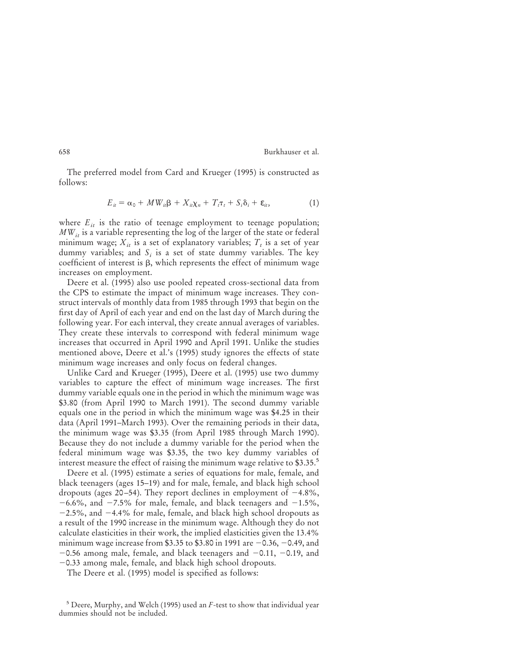The preferred model from Card and Krueger (1995) is constructed as follows:

$$
E_{it} = \alpha_0 + MW_{it}\beta + X_{it}\chi_n + T_t\tau_t + S_i\delta_i + \varepsilon_{it},\tag{1}
$$

where  $E_{it}$  is the ratio of teenage employment to teenage population;  $MW_{it}$  is a variable representing the log of the larger of the state or federal minimum wage;  $X_{it}$  is a set of explanatory variables;  $T_t$  is a set of year dummy variables; and *Si* is a set of state dummy variables. The key coefficient of interest is  $\beta$ , which represents the effect of minimum wage increases on employment.

Deere et al. (1995) also use pooled repeated cross-sectional data from the CPS to estimate the impact of minimum wage increases. They construct intervals of monthly data from 1985 through 1993 that begin on the first day of April of each year and end on the last day of March during the following year. For each interval, they create annual averages of variables. They create these intervals to correspond with federal minimum wage increases that occurred in April 1990 and April 1991. Unlike the studies mentioned above, Deere et al.'s (1995) study ignores the effects of state minimum wage increases and only focus on federal changes.

Unlike Card and Krueger (1995), Deere et al. (1995) use two dummy variables to capture the effect of minimum wage increases. The first dummy variable equals one in the period in which the minimum wage was \$3.80 (from April 1990 to March 1991). The second dummy variable equals one in the period in which the minimum wage was \$4.25 in their data (April 1991–March 1993). Over the remaining periods in their data, the minimum wage was \$3.35 (from April 1985 through March 1990). Because they do not include a dummy variable for the period when the federal minimum wage was \$3.35, the two key dummy variables of interest measure the effect of raising the minimum wage relative to \$3.35.<sup>5</sup>

Deere et al. (1995) estimate a series of equations for male, female, and black teenagers (ages 15–19) and for male, female, and black high school dropouts (ages 20–54). They report declines in employment of  $-4.8\%$ ,  $-6.6\%$ , and  $-7.5\%$  for male, female, and black teenagers and  $-1.5\%$ ,  $-2.5\%$ , and  $-4.4\%$  for male, female, and black high school dropouts as a result of the 1990 increase in the minimum wage. Although they do not calculate elasticities in their work, the implied elasticities given the 13.4% minimum wage increase from \$3.35 to \$3.80 in 1991 are  $-0.36$ ,  $-0.49$ , and  $-0.56$  among male, female, and black teenagers and  $-0.11$ ,  $-0.19$ , and -0.33 among male, female, and black high school dropouts.

The Deere et al. (1995) model is specified as follows:

<sup>5</sup> Deere, Murphy, and Welch (1995) used an *F*-test to show that individual year dummies should not be included.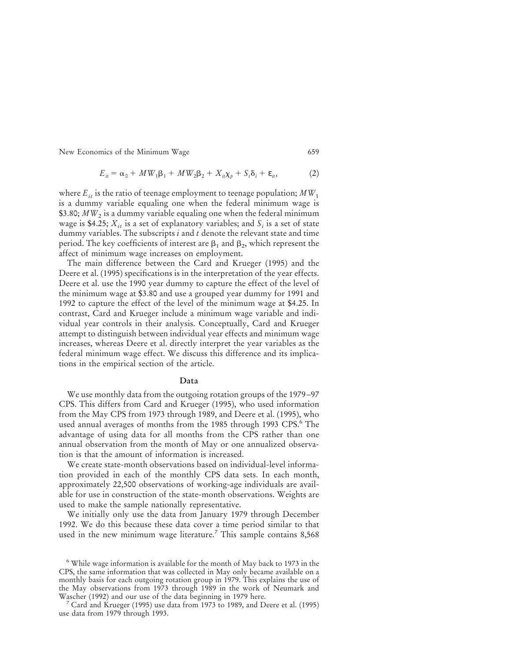New Economics of the Minimum Wage 659

$$
E_{it} = \alpha_0 + M W_1 \beta_1 + M W_2 \beta_2 + X_{it} \chi_p + S_i \delta_i + \varepsilon_{it}, \qquad (2)
$$

where  $E_{it}$  is the ratio of teenage employment to teenage population;  $MW_1$ is a dummy variable equaling one when the federal minimum wage is \$3.80;  $MW<sub>2</sub>$  is a dummy variable equaling one when the federal minimum wage is \$4.25;  $X_{it}$  is a set of explanatory variables; and  $S_i$  is a set of state dummy variables. The subscripts *i* and *t* denote the relevant state and time period. The key coefficients of interest are  $\beta_1$  and  $\beta_2$ , which represent the affect of minimum wage increases on employment.

The main difference between the Card and Krueger (1995) and the Deere et al. (1995) specifications is in the interpretation of the year effects. Deere et al. use the 1990 year dummy to capture the effect of the level of the minimum wage at \$3.80 and use a grouped year dummy for 1991 and 1992 to capture the effect of the level of the minimum wage at \$4.25. In contrast, Card and Krueger include a minimum wage variable and individual year controls in their analysis. Conceptually, Card and Krueger attempt to distinguish between individual year effects and minimum wage increases, whereas Deere et al. directly interpret the year variables as the federal minimum wage effect. We discuss this difference and its implications in the empirical section of the article.

#### **Data**

We use monthly data from the outgoing rotation groups of the 1979–97 CPS. This differs from Card and Krueger (1995), who used information from the May CPS from 1973 through 1989, and Deere et al. (1995), who used annual averages of months from the 1985 through 1993 CPS.<sup>6</sup> The advantage of using data for all months from the CPS rather than one annual observation from the month of May or one annualized observation is that the amount of information is increased.

We create state-month observations based on individual-level information provided in each of the monthly CPS data sets. In each month, approximately 22,500 observations of working-age individuals are available for use in construction of the state-month observations. Weights are used to make the sample nationally representative.

We initially only use the data from January 1979 through December 1992. We do this because these data cover a time period similar to that used in the new minimum wage literature.<sup>7</sup> This sample contains 8,568

<sup>6</sup> While wage information is available for the month of May back to 1973 in the CPS, the same information that was collected in May only became available on a monthly basis for each outgoing rotation group in 1979. This explains the use of the May observations from 1973 through 1989 in the work of Neumark and Wascher (1992) and our use of the data beginning in 1979 here.

<sup>&</sup>lt;sup>7</sup> Card and Krueger (1995) use data from 1973 to 1989, and Deere et al. (1995) use data from 1979 through 1993.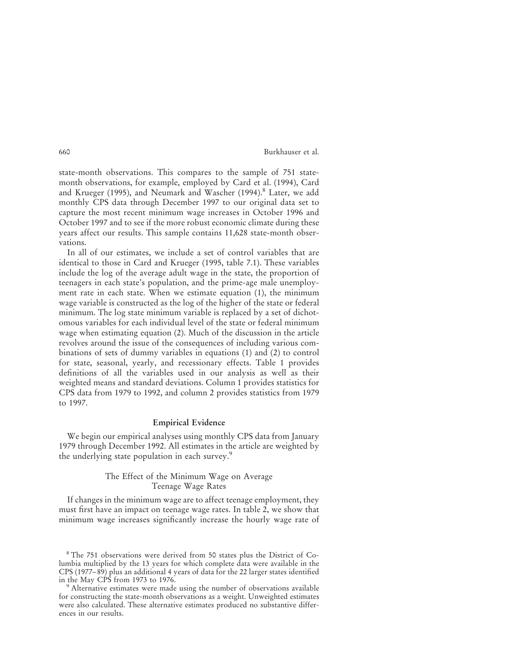state-month observations. This compares to the sample of 751 statemonth observations, for example, employed by Card et al. (1994), Card and Krueger (1995), and Neumark and Wascher (1994). Later, we add monthly CPS data through December 1997 to our original data set to capture the most recent minimum wage increases in October 1996 and October 1997 and to see if the more robust economic climate during these years affect our results. This sample contains 11,628 state-month observations.

In all of our estimates, we include a set of control variables that are identical to those in Card and Krueger (1995, table 7.1). These variables include the log of the average adult wage in the state, the proportion of teenagers in each state's population, and the prime-age male unemployment rate in each state. When we estimate equation (1), the minimum wage variable is constructed as the log of the higher of the state or federal minimum. The log state minimum variable is replaced by a set of dichotomous variables for each individual level of the state or federal minimum wage when estimating equation (2). Much of the discussion in the article revolves around the issue of the consequences of including various combinations of sets of dummy variables in equations (1) and (2) to control for state, seasonal, yearly, and recessionary effects. Table 1 provides definitions of all the variables used in our analysis as well as their weighted means and standard deviations. Column 1 provides statistics for CPS data from 1979 to 1992, and column 2 provides statistics from 1979 to 1997.

#### **Empirical Evidence**

We begin our empirical analyses using monthly CPS data from January 1979 through December 1992. All estimates in the article are weighted by the underlying state population in each survey.<sup>9</sup>

## The Effect of the Minimum Wage on Average Teenage Wage Rates

If changes in the minimum wage are to affect teenage employment, they must first have an impact on teenage wage rates. In table 2, we show that minimum wage increases significantly increase the hourly wage rate of

<sup>8</sup> The 751 observations were derived from 50 states plus the District of Columbia multiplied by the 13 years for which complete data were available in the CPS (1977–89) plus an additional 4 years of data for the 22 larger states identified

<sup>&</sup>lt;sup>9</sup> Alternative estimates were made using the number of observations available for constructing the state-month observations as a weight. Unweighted estimates were also calculated. These alternative estimates produced no substantive differences in our results.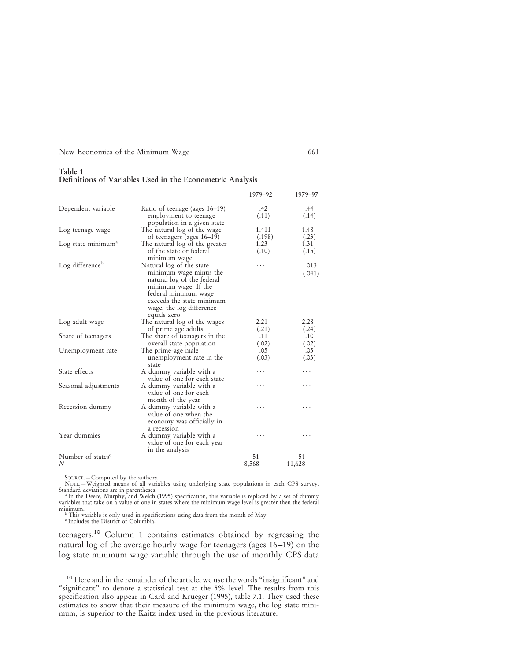|                                    |                                                                                                                                                                                                           | 1979-92         | 1979-97        |
|------------------------------------|-----------------------------------------------------------------------------------------------------------------------------------------------------------------------------------------------------------|-----------------|----------------|
| Dependent variable                 | Ratio of teenage (ages 16–19)<br>employment to teenage<br>population in a given state                                                                                                                     | .42<br>(.11)    | .44<br>(.14)   |
| Log teenage wage                   | The natural log of the wage<br>of teenagers (ages 16–19)                                                                                                                                                  | 1.411<br>(.198) | 1.48<br>(.23)  |
| Log state minimum <sup>a</sup>     | The natural log of the greater<br>of the state or federal<br>minimum wage                                                                                                                                 | 1.23<br>(.10)   | 1.31<br>(.15)  |
| Log difference <sup>b</sup>        | Natural log of the state<br>minimum wage minus the<br>natural log of the federal<br>minimum wage. If the<br>federal minimum wage<br>exceeds the state minimum<br>wage, the log difference<br>equals zero. |                 | .013<br>(.041) |
| Log adult wage                     | The natural log of the wages<br>of prime age adults                                                                                                                                                       | 2.21<br>(.21)   | 2.28<br>(.24)  |
| Share of teenagers                 | The share of teenagers in the<br>overall state population                                                                                                                                                 | .11<br>(.02)    | .10<br>(.02)   |
| Unemployment rate                  | The prime-age male<br>unemployment rate in the<br>state                                                                                                                                                   | .05<br>(.03)    | .05<br>(.03)   |
| State effects                      | A dummy variable with a<br>value of one for each state                                                                                                                                                    |                 |                |
| Seasonal adjustments               | A dummy variable with a<br>value of one for each<br>month of the year                                                                                                                                     | .               |                |
| Recession dummy                    | A dummy variable with a<br>value of one when the<br>economy was officially in<br>a recession                                                                                                              | .               |                |
| Year dummies                       | A dummy variable with a<br>value of one for each year<br>in the analysis                                                                                                                                  | .               |                |
| Number of states <sup>c</sup><br>N |                                                                                                                                                                                                           | 51<br>8,568     | 51<br>11,628   |

#### **Table 1 Definitions of Variables Used in the Econometric Analysis**

SOURCE.—Computed by the authors.

NOTE.—Weighted means of all variables using underlying state populations in each CPS survey.

 $\alpha$  In the Deere, Murphy, and Welch (1995) specification, this variable is replaced by a set of dummy variables that take on a value of one in states where the minimum wage level is greater then the federal

minimum.<br>
b This variable is only used in specifications using data from the month of May.<br>
c Includes the District of Columbia.

teenagers.10 Column 1 contains estimates obtained by regressing the natural log of the average hourly wage for teenagers (ages 16–19) on the log state minimum wage variable through the use of monthly CPS data

<sup>10</sup> Here and in the remainder of the article, we use the words "insignificant" and "significant" to denote a statistical test at the 5% level. The results from this specification also appear in Card and Krueger (1995), table 7.1. They used these estimates to show that their measure of the minimum wage, the log state minimum, is superior to the Kaitz index used in the previous literature.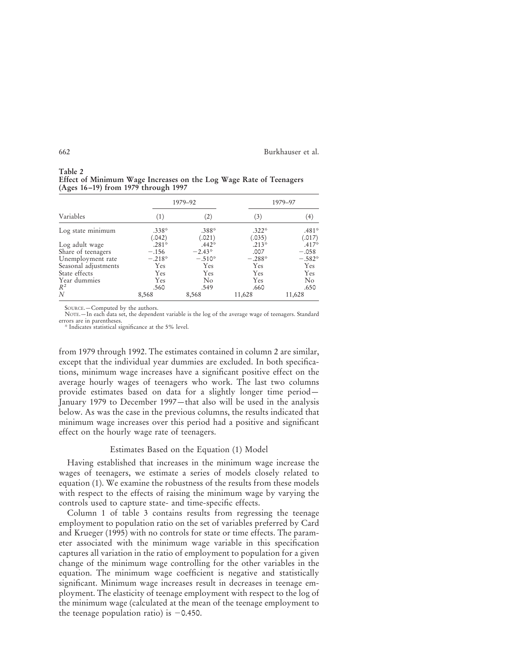|                      |          | 1979-92        |          | 1979-97  |
|----------------------|----------|----------------|----------|----------|
| Variables            | (1)      | (2)            | (3)      | (4)      |
| Log state minimum    | $.338*$  | $.388*$        | $.322*$  | $.481*$  |
|                      | (.042)   | (.021)         | (.035)   | (.017)   |
| Log adult wage       | $.281*$  | $.442*$        | $.213*$  | $.417*$  |
| Share of teenagers   | $-.156$  | $-2.43*$       | .007     | $-.058$  |
| Unemployment rate    | $-.218*$ | $-.510*$       | $-.288*$ | $-.582*$ |
| Seasonal adjustments | Yes      | Yes            | Yes      | Yes      |
| State effects        | Yes      | Yes            | Yes      | Yes      |
| Year dummies         | Yes      | N <sub>o</sub> | Yes      | No       |
| $R^2$                | .560     | .549           | .660     | .650     |
| N                    | 8,568    | 8,568          | 11,628   | 11,628   |

#### **Table 2 Effect of Minimum Wage Increases on the Log Wage Rate of Teenagers (Ages 16–19) from 1979 through 1997**

SOURCE.—Computed by the authors.

NOTE.—In each data set, the dependent variable is the log of the average wage of teenagers. Standard errors are in parentheses.

\* Indicates statistical significance at the 5% level.

from 1979 through 1992. The estimates contained in column 2 are similar, except that the individual year dummies are excluded. In both specifications, minimum wage increases have a significant positive effect on the average hourly wages of teenagers who work. The last two columns provide estimates based on data for a slightly longer time period— January 1979 to December 1997—that also will be used in the analysis below. As was the case in the previous columns, the results indicated that minimum wage increases over this period had a positive and significant effect on the hourly wage rate of teenagers.

#### Estimates Based on the Equation (1) Model

Having established that increases in the minimum wage increase the wages of teenagers, we estimate a series of models closely related to equation (1). We examine the robustness of the results from these models with respect to the effects of raising the minimum wage by varying the controls used to capture state- and time-specific effects.

Column 1 of table 3 contains results from regressing the teenage employment to population ratio on the set of variables preferred by Card and Krueger (1995) with no controls for state or time effects. The parameter associated with the minimum wage variable in this specification captures all variation in the ratio of employment to population for a given change of the minimum wage controlling for the other variables in the equation. The minimum wage coefficient is negative and statistically significant. Minimum wage increases result in decreases in teenage employment. The elasticity of teenage employment with respect to the log of the minimum wage (calculated at the mean of the teenage employment to the teenage population ratio) is  $-0.450$ .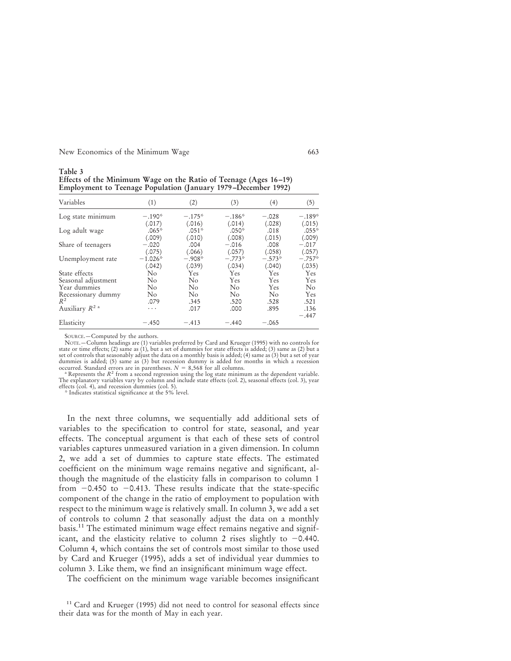**Table 3**

| ---r-- <i>.</i> -            | ా<br>-г   |          |          |          |          |
|------------------------------|-----------|----------|----------|----------|----------|
| Variables                    | (1)       | (2)      | (3)      | (4)      | (5)      |
| Log state minimum            | $-.190*$  | $-.175*$ | $-.186*$ | $-.028$  | $-.189*$ |
|                              | (.017)    | (.016)   | (.014)   | (.028)   | (.015)   |
| Log adult wage               | $.065*$   | $.051*$  | $.050*$  | .018     | $.055*$  |
|                              | (.009)    | (.010)   | (.008)   | (.015)   | (.009)   |
| Share of teenagers           | $-.020$   | .004     | $-.016$  | .008     | $-.017$  |
|                              | (.075)    | (.066)   | (.057)   | (.058)   | (.057)   |
| Unemployment rate            | $-1.026*$ | $-.908*$ | $-.773*$ | $-.573*$ | $-.757*$ |
|                              | (.042)    | (.039)   | (.034)   | (.040)   | (.035)   |
| State effects                | $\rm No$  | Yes      | Yes      | Yes      | Yes      |
| Seasonal adjustment          | No        | $\rm No$ | Yes      | Yes      | Yes      |
| Year dummies                 | No.       | No       | No       | Yes      | No       |
| Recessionary dummy           | No        | $\rm No$ | No       | $\rm No$ | Yes      |
| $R^2$                        | .079      | .345     | .520     | .528     | .521     |
| Auxiliary $R^2$ <sup>a</sup> | .         | .017     | .000     | .895     | .136     |
|                              |           |          |          |          | $-.447$  |
| Elasticity                   | $-.450$   | $-.413$  | $-.440$  | $-.065$  |          |

**Effects of the Minimum Wage on the Ratio of Teenage (Ages 16–19) Employment to Teenage Population (January 1979–December 1992)**

SOURCE.—Computed by the authors.

NOTE.—Column headings are (1) variables preferred by Card and Krueger (1995) with no controls for state or time effects; (2) same as (1), but a set of dummies for state effects is added; (3) same as (2) but a set of controls that seasonably adjust the data on a monthly basis is added; (4) same as (3) but a set of year dummies is added; (5) same as (3) but recession dummy is added for months in which a recession occurred. Standard errors are in parentheses.  $N = 8,568$  for all columns.

<sup>a</sup> Represents the  $R^2$  from a second regression using the log state minimum as the dependent variable. The explanatory variables vary by column and include state effects (col. 2), seasonal effects (col. 3), year effects (col. 4), and recession dummies (col. 5).

\* Indicates statistical significance at the 5% level.

In the next three columns, we sequentially add additional sets of variables to the specification to control for state, seasonal, and year effects. The conceptual argument is that each of these sets of control variables captures unmeasured variation in a given dimension. In column 2, we add a set of dummies to capture state effects. The estimated coefficient on the minimum wage remains negative and significant, although the magnitude of the elasticity falls in comparison to column 1 from  $-0.450$  to  $-0.413$ . These results indicate that the state-specific component of the change in the ratio of employment to population with respect to the minimum wage is relatively small. In column 3, we add a set of controls to column 2 that seasonally adjust the data on a monthly basis.<sup>11</sup> The estimated minimum wage effect remains negative and significant, and the elasticity relative to column 2 rises slightly to  $-0.440$ . Column 4, which contains the set of controls most similar to those used by Card and Krueger (1995), adds a set of individual year dummies to column 3. Like them, we find an insignificant minimum wage effect.

The coefficient on the minimum wage variable becomes insignificant

<sup>&</sup>lt;sup>11</sup> Card and Krueger (1995) did not need to control for seasonal effects since their data was for the month of May in each year.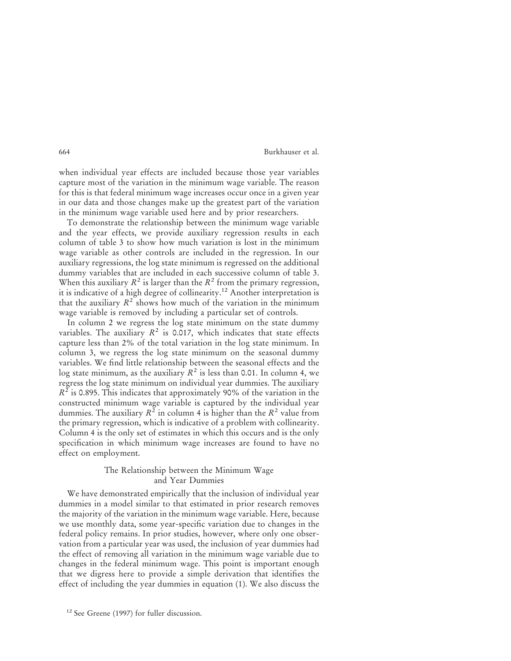when individual year effects are included because those year variables capture most of the variation in the minimum wage variable. The reason for this is that federal minimum wage increases occur once in a given year in our data and those changes make up the greatest part of the variation in the minimum wage variable used here and by prior researchers.

To demonstrate the relationship between the minimum wage variable and the year effects, we provide auxiliary regression results in each column of table 3 to show how much variation is lost in the minimum wage variable as other controls are included in the regression. In our auxiliary regressions, the log state minimum is regressed on the additional dummy variables that are included in each successive column of table 3. When this auxiliary  $R^2$  is larger than the  $R^2$  from the primary regression, it is indicative of a high degree of collinearity.12 Another interpretation is that the auxiliary  $R^2$  shows how much of the variation in the minimum wage variable is removed by including a particular set of controls.

In column 2 we regress the log state minimum on the state dummy variables. The auxiliary  $R^2$  is 0.017, which indicates that state effects capture less than 2% of the total variation in the log state minimum. In column 3, we regress the log state minimum on the seasonal dummy variables. We find little relationship between the seasonal effects and the log state minimum, as the auxiliary  $R^2$  is less than 0.01. In column 4, we regress the log state minimum on individual year dummies. The auxiliary *R*<sup>2</sup> is 0.895. This indicates that approximately 90% of the variation in the constructed minimum wage variable is captured by the individual year dummies. The auxiliary  $R^2$  in column 4 is higher than the  $R^2$  value from the primary regression, which is indicative of a problem with collinearity. Column 4 is the only set of estimates in which this occurs and is the only specification in which minimum wage increases are found to have no effect on employment.

# The Relationship between the Minimum Wage and Year Dummies

We have demonstrated empirically that the inclusion of individual year dummies in a model similar to that estimated in prior research removes the majority of the variation in the minimum wage variable. Here, because we use monthly data, some year-specific variation due to changes in the federal policy remains. In prior studies, however, where only one observation from a particular year was used, the inclusion of year dummies had the effect of removing all variation in the minimum wage variable due to changes in the federal minimum wage. This point is important enough that we digress here to provide a simple derivation that identifies the effect of including the year dummies in equation (1). We also discuss the

<sup>&</sup>lt;sup>12</sup> See Greene (1997) for fuller discussion.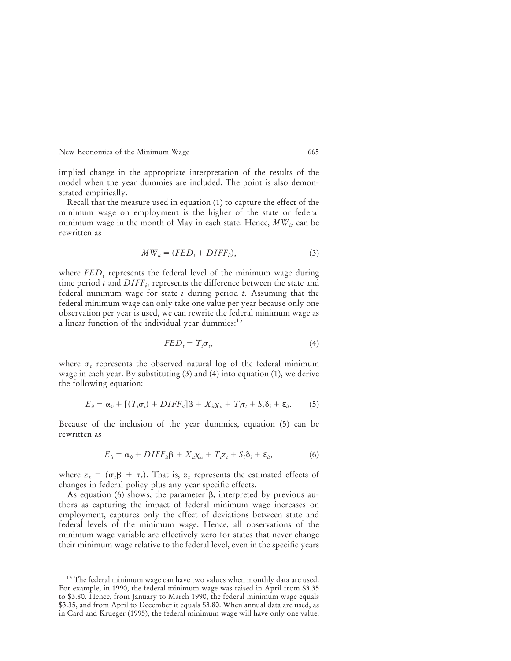implied change in the appropriate interpretation of the results of the model when the year dummies are included. The point is also demonstrated empirically.

Recall that the measure used in equation (1) to capture the effect of the minimum wage on employment is the higher of the state or federal minimum wage in the month of May in each state. Hence,  $MW_i$ , can be rewritten as

$$
MW_{it} = (FED_t + DIFF_{it}),
$$
\n(3)

where *FED<sub>t</sub>* represents the federal level of the minimum wage during time period *t* and  $DIFF_{it}$  represents the difference between the state and federal minimum wage for state *i* during period *t.* Assuming that the federal minimum wage can only take one value per year because only one observation per year is used, we can rewrite the federal minimum wage as a linear function of the individual year dummies:<sup>13</sup>

$$
FED_t = T_t \sigma_t, \tag{4}
$$

where  $\sigma_t$  represents the observed natural log of the federal minimum wage in each year. By substituting (3) and (4) into equation (1), we derive the following equation:

$$
E_{it} = \alpha_0 + \left[ (T_t \sigma_t) + DIFF_{it} \right] \beta + X_{it} \chi_n + T_t \tau_t + S_i \delta_i + \varepsilon_{it}. \tag{5}
$$

Because of the inclusion of the year dummies, equation (5) can be rewritten as

$$
E_{it} = \alpha_0 + DIFF_{it}\beta + X_{it}\chi_n + T_t z_t + S_i\delta_i + \varepsilon_{it},\tag{6}
$$

where  $z_t = (\sigma_t \beta + \tau_t)$ . That is,  $z_t$  represents the estimated effects of changes in federal policy plus any year specific effects.

As equation (6) shows, the parameter  $\beta$ , interpreted by previous authors as capturing the impact of federal minimum wage increases on employment, captures only the effect of deviations between state and federal levels of the minimum wage. Hence, all observations of the minimum wage variable are effectively zero for states that never change their minimum wage relative to the federal level, even in the specific years

<sup>13</sup> The federal minimum wage can have two values when monthly data are used. For example, in 1990, the federal minimum wage was raised in April from \$3.35 to \$3.80. Hence, from January to March 1990, the federal minimum wage equals \$3.35, and from April to December it equals \$3.80. When annual data are used, as in Card and Krueger (1995), the federal minimum wage will have only one value.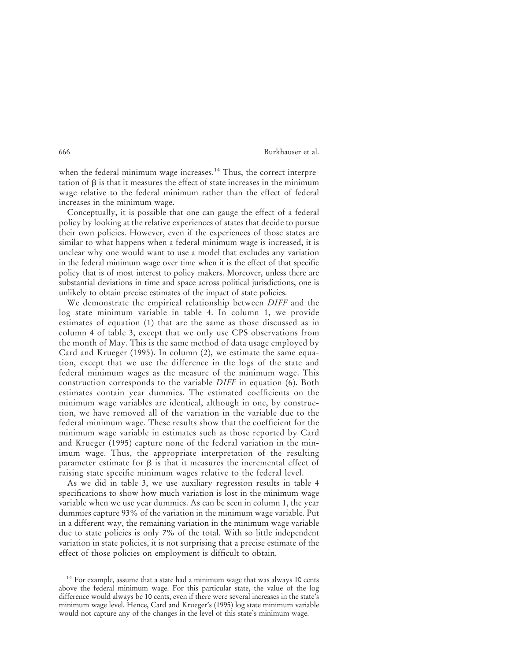when the federal minimum wage increases.<sup>14</sup> Thus, the correct interpretation of b is that it measures the effect of state increases in the minimum wage relative to the federal minimum rather than the effect of federal increases in the minimum wage.

Conceptually, it is possible that one can gauge the effect of a federal policy by looking at the relative experiences of states that decide to pursue their own policies. However, even if the experiences of those states are similar to what happens when a federal minimum wage is increased, it is unclear why one would want to use a model that excludes any variation in the federal minimum wage over time when it is the effect of that specific policy that is of most interest to policy makers. Moreover, unless there are substantial deviations in time and space across political jurisdictions, one is unlikely to obtain precise estimates of the impact of state policies.

We demonstrate the empirical relationship between *DIFF* and the log state minimum variable in table 4. In column 1, we provide estimates of equation (1) that are the same as those discussed as in column 4 of table 3, except that we only use CPS observations from the month of May. This is the same method of data usage employed by Card and Krueger (1995). In column (2), we estimate the same equation, except that we use the difference in the logs of the state and federal minimum wages as the measure of the minimum wage. This construction corresponds to the variable *DIFF* in equation (6). Both estimates contain year dummies. The estimated coefficients on the minimum wage variables are identical, although in one, by construction, we have removed all of the variation in the variable due to the federal minimum wage. These results show that the coefficient for the minimum wage variable in estimates such as those reported by Card and Krueger (1995) capture none of the federal variation in the minimum wage. Thus, the appropriate interpretation of the resulting parameter estimate for  $\beta$  is that it measures the incremental effect of raising state specific minimum wages relative to the federal level.

As we did in table 3, we use auxiliary regression results in table 4 specifications to show how much variation is lost in the minimum wage variable when we use year dummies. As can be seen in column 1, the year dummies capture 93% of the variation in the minimum wage variable. Put in a different way, the remaining variation in the minimum wage variable due to state policies is only 7% of the total. With so little independent variation in state policies, it is not surprising that a precise estimate of the effect of those policies on employment is difficult to obtain.

<sup>14</sup> For example, assume that a state had a minimum wage that was always 10 cents above the federal minimum wage. For this particular state, the value of the log difference would always be 10 cents, even if there were several increases in the state's minimum wage level. Hence, Card and Krueger's (1995) log state minimum variable would not capture any of the changes in the level of this state's minimum wage.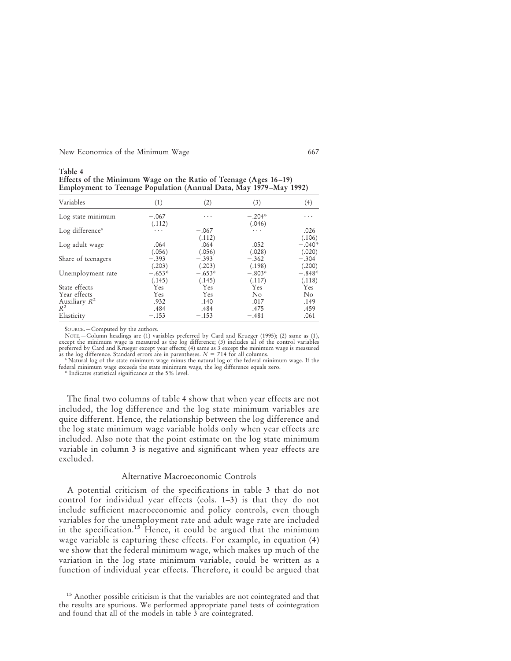| Variables                   | (1)      | (2)      | (3)      | (4)      |
|-----------------------------|----------|----------|----------|----------|
|                             |          |          |          |          |
| Log state minimum           | $-.067$  | .        | $-.204*$ | .        |
|                             | (.112)   |          | (.046)   |          |
| Log difference <sup>a</sup> | .        | $-.067$  | .        | .026     |
|                             |          | (.112)   |          | (.106)   |
| Log adult wage              | .064     | .064     | .052     | $-.040*$ |
|                             | (.056)   | (.056)   | (.028)   | (.020)   |
| Share of teenagers          | $-.393$  | $-.393$  | $-.362$  | $-.304$  |
|                             | (.203)   | (.203)   | (.198)   | (.200)   |
| Unemployment rate           | $-.653*$ | $-.653*$ | $-.803*$ | $-.848*$ |
|                             | (.145)   | (.145)   | (.117)   | (.118)   |
| State effects               | Yes      | Yes      | Yes      | Yes      |
| Year effects                | Yes      | Yes      | No       | No       |
| Auxiliary $R^2$             | .932     | .140     | .017     | .149     |
| $R^2$                       | .484     | .484     | .475     | .459     |
| Elasticity                  | $-.153$  | $-.153$  | $-.481$  | .061     |

**Table 4 Effects of the Minimum Wage on the Ratio of Teenage (Ages 16–19) Employment to Teenage Population (Annual Data, May 1979–May 1992)**

SOURCE.—Computed by the authors.

NOTE.—Column headings are (1) variables preferred by Card and Krueger (1995); (2) same as (1), except the minimum wage is measured as the log difference; (3) includes all of the control variables preferred by Card and Krueger except year effects; (4) same as 3 except the minimum wage is measured<br>as the log difference. Standard errors are in parentheses.  $N = 714$  for all columns.<br><sup>a</sup> Natural log of the state minimu

federal minimum wage exceeds the state minimum wage, the log difference equals zero.

\* Indicates statistical significance at the 5% level.

The final two columns of table 4 show that when year effects are not included, the log difference and the log state minimum variables are quite different. Hence, the relationship between the log difference and the log state minimum wage variable holds only when year effects are included. Also note that the point estimate on the log state minimum variable in column 3 is negative and significant when year effects are excluded.

#### Alternative Macroeconomic Controls

A potential criticism of the specifications in table 3 that do not control for individual year effects (cols. 1–3) is that they do not include sufficient macroeconomic and policy controls, even though variables for the unemployment rate and adult wage rate are included in the specification.<sup>15</sup> Hence, it could be argued that the minimum wage variable is capturing these effects. For example, in equation (4) we show that the federal minimum wage, which makes up much of the variation in the log state minimum variable, could be written as a function of individual year effects. Therefore, it could be argued that

<sup>&</sup>lt;sup>15</sup> Another possible criticism is that the variables are not cointegrated and that the results are spurious. We performed appropriate panel tests of cointegration and found that all of the models in table 3 are cointegrated.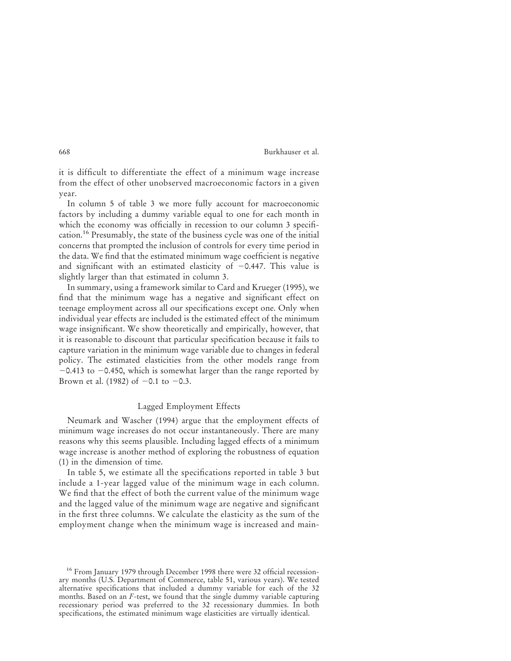it is difficult to differentiate the effect of a minimum wage increase from the effect of other unobserved macroeconomic factors in a given year.

In column 5 of table 3 we more fully account for macroeconomic factors by including a dummy variable equal to one for each month in which the economy was officially in recession to our column 3 specification.16 Presumably, the state of the business cycle was one of the initial concerns that prompted the inclusion of controls for every time period in the data. We find that the estimated minimum wage coefficient is negative and significant with an estimated elasticity of  $-0.447$ . This value is slightly larger than that estimated in column 3.

In summary, using a framework similar to Card and Krueger (1995), we find that the minimum wage has a negative and significant effect on teenage employment across all our specifications except one. Only when individual year effects are included is the estimated effect of the minimum wage insignificant. We show theoretically and empirically, however, that it is reasonable to discount that particular specification because it fails to capture variation in the minimum wage variable due to changes in federal policy. The estimated elasticities from the other models range from  $-0.413$  to  $-0.450$ , which is somewhat larger than the range reported by Brown et al. (1982) of  $-0.1$  to  $-0.3$ .

# Lagged Employment Effects

Neumark and Wascher (1994) argue that the employment effects of minimum wage increases do not occur instantaneously. There are many reasons why this seems plausible. Including lagged effects of a minimum wage increase is another method of exploring the robustness of equation (1) in the dimension of time.

In table 5, we estimate all the specifications reported in table 3 but include a 1-year lagged value of the minimum wage in each column. We find that the effect of both the current value of the minimum wage and the lagged value of the minimum wage are negative and significant in the first three columns. We calculate the elasticity as the sum of the employment change when the minimum wage is increased and main-

<sup>16</sup> From January 1979 through December 1998 there were 32 official recessionary months (U.S. Department of Commerce, table 51, various years). We tested alternative specifications that included a dummy variable for each of the 32 months. Based on an *F*-test, we found that the single dummy variable capturing recessionary period was preferred to the 32 recessionary dummies. In both specifications, the estimated minimum wage elasticities are virtually identical.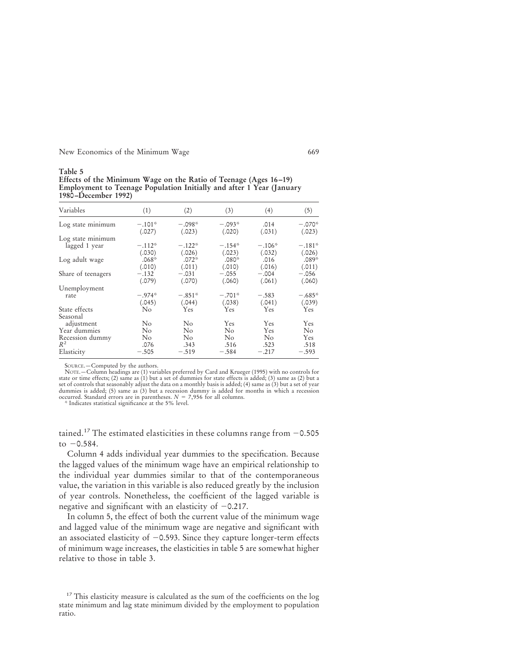**Table 5**

| Variables          | (1)                | (2)                | (3)                | (4)                | (5)                |
|--------------------|--------------------|--------------------|--------------------|--------------------|--------------------|
| Log state minimum  | $-.101*$<br>(.027) | $-.098*$<br>(.023) | $-.093*$<br>(.020) | .014<br>(.031)     | $-.070*$<br>(.023) |
| Log state minimum  |                    |                    |                    |                    |                    |
| lagged 1 year      | $-.112*$<br>(.030) | $-.122*$<br>(.026) | $-.154*$<br>(.023) | $-.106*$<br>(.032) | $-.181*$<br>(.026) |
| Log adult wage     | $.068*$<br>(.010)  | $.072*$<br>(.011)  | $.080*$<br>(.010)  | .016<br>(.016)     | $.089*$<br>(.011)  |
| Share of teenagers | $-.132$<br>(.079)  | $-.031$<br>(.070)  | $-.055$<br>(.060)  | $-.004$<br>(.061)  | $-.056$<br>(.060)  |
| Unemployment       |                    |                    |                    |                    |                    |
| rate               | $-.974*$<br>(.045) | $-.851*$<br>(.044) | $-.701*$<br>(.038) | $-.583$<br>(.041)  | $-.685*$<br>(.039) |
| State effects      | $\rm No$           | Yes                | Yes                | Yes                | Yes                |
| Seasonal           |                    |                    |                    |                    |                    |
| adjustment         | No                 | No                 | Yes                | Yes                | Yes                |
| Year dummies       | $\rm No$           | No                 | $\rm No$           | Yes                | No                 |
| Recession dummy    | $\rm No$           | No                 | $\rm No$           | $\rm No$           | Yes                |
| $R^2$              | .076               | .343               | .516               | .523               | .518               |
| Elasticity         | $-.505$            | $-.519$            | $-.584$            | $-.217$            | $-.593$            |

**Effects of the Minimum Wage on the Ratio of Teenage (Ages 16–19) Employment to Teenage Population Initially and after 1 Year (January 1980–December 1992)**

SOURCE.—Computed by the authors.

NOTE.—Column headings are (1) variables preferred by Card and Krueger (1995) with no controls for state or time effects; (2) same as (1) but a set of dummies for state effects is added; (3) same as (2) but a set of controls that seasonably adjust the data on a monthly basis is added; (4) same as (3) but a set of year dummies is added; (5) same as (3) but a recession dummy is added for months in which a recession occurred. Standard errors are in parentheses.  $N = 7,956$  for all columns.

\* Indicates statistical significance at the 5% level.

tained.<sup>17</sup> The estimated elasticities in these columns range from  $-0.505$ to  $-0.584$ .

Column 4 adds individual year dummies to the specification. Because the lagged values of the minimum wage have an empirical relationship to the individual year dummies similar to that of the contemporaneous value, the variation in this variable is also reduced greatly by the inclusion of year controls. Nonetheless, the coefficient of the lagged variable is negative and significant with an elasticity of  $-0.217$ .

In column 5, the effect of both the current value of the minimum wage and lagged value of the minimum wage are negative and significant with an associated elasticity of  $-0.593$ . Since they capture longer-term effects of minimum wage increases, the elasticities in table 5 are somewhat higher relative to those in table 3.

 $17$  This elasticity measure is calculated as the sum of the coefficients on the log state minimum and lag state minimum divided by the employment to population ratio.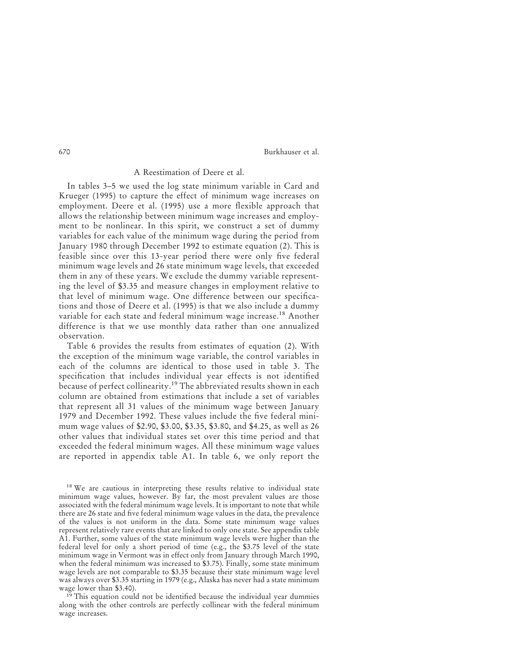# A Reestimation of Deere et al.

In tables 3–5 we used the log state minimum variable in Card and Krueger (1995) to capture the effect of minimum wage increases on employment. Deere et al. (1995) use a more flexible approach that allows the relationship between minimum wage increases and employment to be nonlinear. In this spirit, we construct a set of dummy variables for each value of the minimum wage during the period from January 1980 through December 1992 to estimate equation (2). This is feasible since over this 13-year period there were only five federal minimum wage levels and 26 state minimum wage levels, that exceeded them in any of these years. We exclude the dummy variable representing the level of \$3.35 and measure changes in employment relative to that level of minimum wage. One difference between our specifications and those of Deere et al. (1995) is that we also include a dummy variable for each state and federal minimum wage increase.<sup>18</sup> Another difference is that we use monthly data rather than one annualized observation.

Table 6 provides the results from estimates of equation (2). With the exception of the minimum wage variable, the control variables in each of the columns are identical to those used in table 3. The specification that includes individual year effects is not identified because of perfect collinearity.<sup>19</sup> The abbreviated results shown in each column are obtained from estimations that include a set of variables that represent all 31 values of the minimum wage between January 1979 and December 1992. These values include the five federal minimum wage values of \$2.90, \$3.00, \$3.35, \$3.80, and \$4.25, as well as 26 other values that individual states set over this time period and that exceeded the federal minimum wages. All these minimum wage values are reported in appendix table A1. In table 6, we only report the

<sup>18</sup> We are cautious in interpreting these results relative to individual state minimum wage values, however. By far, the most prevalent values are those associated with the federal minimum wage levels. It is important to note that while there are 26 state and five federal minimum wage values in the data, the prevalence of the values is not uniform in the data. Some state minimum wage values represent relatively rare events that are linked to only one state. See appendix table A1. Further, some values of the state minimum wage levels were higher than the federal level for only a short period of time (e.g., the \$3.75 level of the state minimum wage in Vermont was in effect only from January through March 1990, when the federal minimum was increased to \$3.75). Finally, some state minimum wage levels are not comparable to \$3.35 because their state minimum wage level was always over \$3.35 starting in 1979 (e.g., Alaska has never had a state minimum

wage lower than \$3.40).<br><sup>19</sup> This equation could not be identified because the individual year dummies along with the other controls are perfectly collinear with the federal minimum wage increases.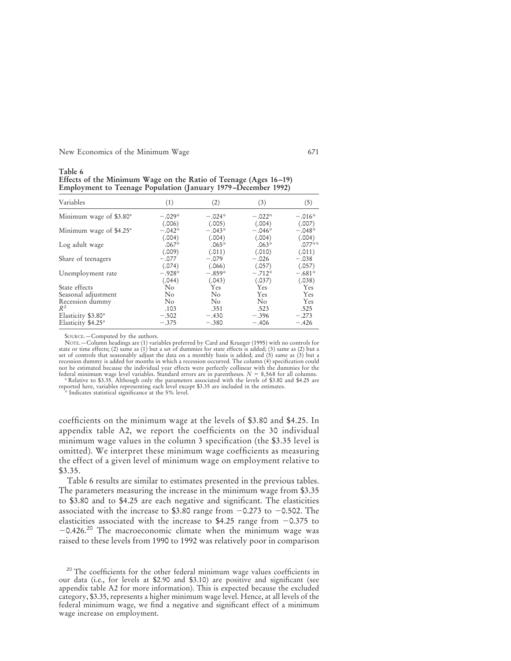| (1)            | (2)                                                                                            | (3)                                                                                                       | (5)                                                                              |
|----------------|------------------------------------------------------------------------------------------------|-----------------------------------------------------------------------------------------------------------|----------------------------------------------------------------------------------|
| $-.029*$       | $-.024*$                                                                                       | $-.022*$                                                                                                  | $-.016*$                                                                         |
| $-.042*$       | $-.043*$                                                                                       | $-.046*$                                                                                                  | (.007)<br>$-.048*$                                                               |
| $.067*$        | $.065*$                                                                                        | $.063*$                                                                                                   | (.004)<br>$.077**$                                                               |
| $-.077$        | $-.079$                                                                                        | $-.026$                                                                                                   | (.011)<br>$-.038$                                                                |
| $-.928*$       | $-.859*$                                                                                       | $-.712*$                                                                                                  | (.057)<br>$-.681*$                                                               |
| N <sub>o</sub> | Yes                                                                                            | Yes                                                                                                       | (.038)<br>Yes                                                                    |
| N <sub>o</sub> | N <sub>o</sub>                                                                                 | Yes                                                                                                       | Yes                                                                              |
|                |                                                                                                |                                                                                                           | Yes                                                                              |
|                | .351                                                                                           | .523                                                                                                      | .525                                                                             |
|                |                                                                                                |                                                                                                           | $-.273$                                                                          |
|                |                                                                                                |                                                                                                           | $-.426$                                                                          |
|                | (.006)<br>(.004)<br>(.009)<br>(.074)<br>(.044)<br>N <sub>o</sub><br>.103<br>$-.502$<br>$-.375$ | ----------<br>v<br>(.005)<br>(.004)<br>(.011)<br>(.066)<br>(.043)<br>N <sub>o</sub><br>$-.430$<br>$-.380$ | (.004)<br>(.004)<br>(.010)<br>(.057)<br>(.037)<br>$\rm No$<br>$-.396$<br>$-.406$ |

**Table 6 Effects of the Minimum Wage on the Ratio of Teenage (Ages 16–19) Employment to Teenage Population (January 1979–December 1992)**

SOURCE.—Computed by the authors.

NOTE.—Column headings are (1) variables preferred by Card and Krueger (1995) with no controls for state or time effects; (2) same as (1) but a set of dummies for state effects is added; (3) same as (2) but a set of controls that seasonably adjust the data on a monthly basis is added; and (5) same as (3) but a recession dummy is added for months in which a recession occurred. The column (4) specification could not be estimated because the individual year effects were perfectly collinear with the dummies for the federal minimum wage level variables. Standard errors are in parentheses.  $N = 8,568$  for all columns.

federal minimum wage level variables. Standard errors are in parentheses.  $N = 8,568$  for all columns.<br><sup>a</sup> Relative to \$3.35. Although only the parameters associated with the levels of \$3.80 and \$4.25 are reported here, va

\* Indicates statistical significance at the 5% level.

coefficients on the minimum wage at the levels of \$3.80 and \$4.25. In appendix table A2, we report the coefficients on the 30 individual minimum wage values in the column 3 specification (the \$3.35 level is omitted). We interpret these minimum wage coefficients as measuring the effect of a given level of minimum wage on employment relative to \$3.35.

Table 6 results are similar to estimates presented in the previous tables. The parameters measuring the increase in the minimum wage from \$3.35 to \$3.80 and to \$4.25 are each negative and significant. The elasticities associated with the increase to \$3.80 range from  $-0.273$  to  $-0.502$ . The elasticities associated with the increase to \$4.25 range from  $-0.375$  to  $-0.426$ <sup>20</sup> The macroeconomic climate when the minimum wage was raised to these levels from 1990 to 1992 was relatively poor in comparison

<sup>20</sup> The coefficients for the other federal minimum wage values coefficients in our data (i.e., for levels at \$2.90 and \$3.10) are positive and significant (see appendix table A2 for more information). This is expected because the excluded category, \$3.35, represents a higher minimum wage level. Hence, at all levels of the federal minimum wage, we find a negative and significant effect of a minimum wage increase on employment.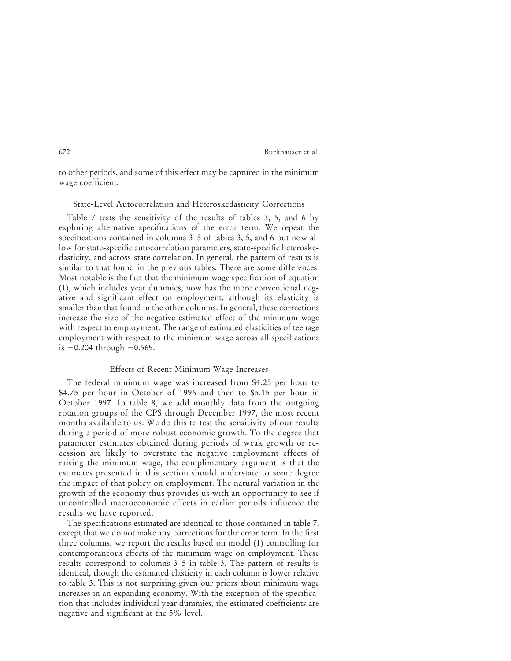to other periods, and some of this effect may be captured in the minimum wage coefficient.

#### State-Level Autocorrelation and Heteroskedasticity Corrections

Table 7 tests the sensitivity of the results of tables 3, 5, and 6 by exploring alternative specifications of the error term. We repeat the specifications contained in columns 3–5 of tables 3, 5, and 6 but now allow for state-specific autocorrelation parameters, state-specific heteroskedasticity, and across-state correlation. In general, the pattern of results is similar to that found in the previous tables. There are some differences. Most notable is the fact that the minimum wage specification of equation (1), which includes year dummies, now has the more conventional negative and significant effect on employment, although its elasticity is smaller than that found in the other columns. In general, these corrections increase the size of the negative estimated effect of the minimum wage with respect to employment. The range of estimated elasticities of teenage employment with respect to the minimum wage across all specifications is  $-0.204$  through  $-0.569$ .

#### Effects of Recent Minimum Wage Increases

The federal minimum wage was increased from \$4.25 per hour to \$4.75 per hour in October of 1996 and then to \$5.15 per hour in October 1997. In table 8, we add monthly data from the outgoing rotation groups of the CPS through December 1997, the most recent months available to us. We do this to test the sensitivity of our results during a period of more robust economic growth. To the degree that parameter estimates obtained during periods of weak growth or recession are likely to overstate the negative employment effects of raising the minimum wage, the complimentary argument is that the estimates presented in this section should understate to some degree the impact of that policy on employment. The natural variation in the growth of the economy thus provides us with an opportunity to see if uncontrolled macroeconomic effects in earlier periods influence the results we have reported.

The specifications estimated are identical to those contained in table 7, except that we do not make any corrections for the error term. In the first three columns, we report the results based on model (1) controlling for contemporaneous effects of the minimum wage on employment. These results correspond to columns 3–5 in table 3. The pattern of results is identical, though the estimated elasticity in each column is lower relative to table 3. This is not surprising given our priors about minimum wage increases in an expanding economy. With the exception of the specification that includes individual year dummies, the estimated coefficients are negative and significant at the 5% level.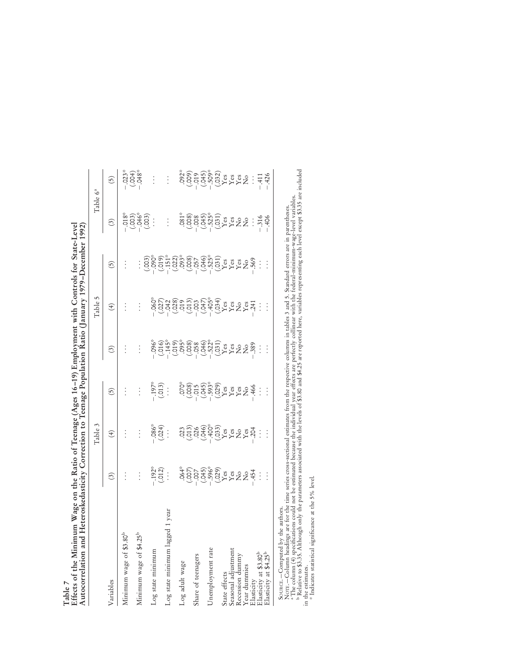|        | I<br>Î<br>I<br>ده<br>ده<br>wage on the<br>i | ć<br>$\overline{\phantom{a}}$<br>Ì<br>l, |
|--------|---------------------------------------------|------------------------------------------|
|        |                                             |                                          |
|        |                                             |                                          |
| Ì      |                                             |                                          |
| į<br>j | ;<br>;<br>;<br>l                            |                                          |

| Autocorrelation and Heteroskedasticity          |                              |                |                                                                                                                                                                                                                                                                                                                                                      |               | Correction to Teenage Population Katio (January 1979–December 1992) |                 |                                                                                                                                                                                                                                                                                                                                                  |                                                                                                                                                                   |
|-------------------------------------------------|------------------------------|----------------|------------------------------------------------------------------------------------------------------------------------------------------------------------------------------------------------------------------------------------------------------------------------------------------------------------------------------------------------------|---------------|---------------------------------------------------------------------|-----------------|--------------------------------------------------------------------------------------------------------------------------------------------------------------------------------------------------------------------------------------------------------------------------------------------------------------------------------------------------|-------------------------------------------------------------------------------------------------------------------------------------------------------------------|
|                                                 |                              | Table 3        |                                                                                                                                                                                                                                                                                                                                                      |               | Table 5                                                             |                 | Table 6 <sup>ª</sup>                                                                                                                                                                                                                                                                                                                             |                                                                                                                                                                   |
| Variables                                       | $\odot$                      | $\mathfrak{t}$ | $\widehat{c}$                                                                                                                                                                                                                                                                                                                                        | $\widehat{c}$ | $\mathfrak{D}$                                                      | $\widetilde{5}$ | $\widehat{c}$                                                                                                                                                                                                                                                                                                                                    | $\widehat{5}$                                                                                                                                                     |
| Minimum wage of \$3.80 <sup>b</sup>             |                              |                |                                                                                                                                                                                                                                                                                                                                                      |               |                                                                     |                 |                                                                                                                                                                                                                                                                                                                                                  | $-023*$<br>$(-004)$<br>$-048*$                                                                                                                                    |
| Minimum wage of \$4.2                           | $\vdots$                     | $\vdots$       | $\vdots$                                                                                                                                                                                                                                                                                                                                             | $\vdots$      |                                                                     |                 | $-0.38$<br>$-0.033$<br>$-0.003$<br>$-0.003$<br>$-0.003$                                                                                                                                                                                                                                                                                          |                                                                                                                                                                   |
| Log state minimum                               |                              |                | $^{+197*}_{(.013)}$                                                                                                                                                                                                                                                                                                                                  |               |                                                                     |                 |                                                                                                                                                                                                                                                                                                                                                  | $\vdots$                                                                                                                                                          |
|                                                 | $-192$<br>(.012)<br>$\vdots$ | (0.024)        |                                                                                                                                                                                                                                                                                                                                                      |               |                                                                     |                 |                                                                                                                                                                                                                                                                                                                                                  |                                                                                                                                                                   |
| Log state minimum lagged 1 year                 |                              |                |                                                                                                                                                                                                                                                                                                                                                      |               | 607280707377                                                        |                 | $\vdots$                                                                                                                                                                                                                                                                                                                                         | $\vdots$                                                                                                                                                          |
| Log adult wage                                  |                              |                |                                                                                                                                                                                                                                                                                                                                                      |               |                                                                     |                 |                                                                                                                                                                                                                                                                                                                                                  |                                                                                                                                                                   |
|                                                 |                              |                | $\begin{array}{l} \tilde{C}^*_{1,2} \\ \tilde{C}^*_{2,3} \\ \tilde{C}^*_{3,4} \\ \tilde{C}^*_{4,5} \\ \tilde{C}^*_{5,6} \\ \tilde{C}^*_{5,6} \\ \tilde{C}^*_{6,7} \\ \tilde{C}^*_{7,7} \\ \tilde{C}^*_{8,7} \\ \tilde{C}^*_{9,7} \\ \tilde{C}^*_{1,7} \\ \tilde{C}^*_{1,7} \\ \tilde{C}^*_{1,7} \\ \tilde{C}^*_{1,7} \\ \tilde{C}^*_{1,7} \\ \tilde$ |               |                                                                     |                 | $\begin{array}{l} 81.38 \\ -1.31 \\ -1.31 \\ -1.31 \\ -1.31 \\ -1.31 \\ -1.32 \\ -1.33 \\ -1.34 \\ -1.35 \\ -1.37 \\ -1.37 \\ -1.37 \\ -1.37 \\ -1.37 \\ -1.37 \\ -1.37 \\ -1.37 \\ -1.37 \\ -1.37 \\ -1.37 \\ -1.37 \\ -1.37 \\ -1.37 \\ -1.37 \\ -1.37 \\ -1.37 \\ -1.37 \\ -1.37 \\ -1.37 \\ -1.37 \\ -1.37 \\ -1.37 \\ -1.37 \\ -1.37 \\ -1$ | $(393)$<br>$(309)$<br>$(309)$<br>$(309)$<br>$(309)$<br>$(309)$<br>$(309)$<br>$(309)$<br>$(309)$<br>$(309)$<br>$(309)$<br>$(309)$<br>$(309)$<br>$(309)$<br>$(309)$ |
| Share of teenagers                              |                              |                |                                                                                                                                                                                                                                                                                                                                                      |               |                                                                     |                 |                                                                                                                                                                                                                                                                                                                                                  |                                                                                                                                                                   |
|                                                 |                              |                |                                                                                                                                                                                                                                                                                                                                                      |               |                                                                     |                 |                                                                                                                                                                                                                                                                                                                                                  |                                                                                                                                                                   |
| Unemployment rate                               |                              |                |                                                                                                                                                                                                                                                                                                                                                      |               |                                                                     |                 |                                                                                                                                                                                                                                                                                                                                                  |                                                                                                                                                                   |
|                                                 |                              |                |                                                                                                                                                                                                                                                                                                                                                      |               |                                                                     |                 |                                                                                                                                                                                                                                                                                                                                                  |                                                                                                                                                                   |
| State effects                                   |                              |                |                                                                                                                                                                                                                                                                                                                                                      |               |                                                                     |                 |                                                                                                                                                                                                                                                                                                                                                  |                                                                                                                                                                   |
| Seasonal adjustment                             |                              |                |                                                                                                                                                                                                                                                                                                                                                      |               |                                                                     |                 |                                                                                                                                                                                                                                                                                                                                                  |                                                                                                                                                                   |
|                                                 |                              |                |                                                                                                                                                                                                                                                                                                                                                      |               |                                                                     |                 |                                                                                                                                                                                                                                                                                                                                                  |                                                                                                                                                                   |
| Recession dummy<br>Year dummies                 |                              |                |                                                                                                                                                                                                                                                                                                                                                      |               |                                                                     |                 |                                                                                                                                                                                                                                                                                                                                                  |                                                                                                                                                                   |
|                                                 |                              |                |                                                                                                                                                                                                                                                                                                                                                      |               |                                                                     |                 |                                                                                                                                                                                                                                                                                                                                                  |                                                                                                                                                                   |
| Elasticity<br>Elasticity at \$3.80 <sup>b</sup> |                              |                |                                                                                                                                                                                                                                                                                                                                                      |               |                                                                     | ÷               |                                                                                                                                                                                                                                                                                                                                                  |                                                                                                                                                                   |
| Elasticity at \$4.25 <sup>b</sup>               | $\vdots$                     | $\vdots$       | $\vdots$                                                                                                                                                                                                                                                                                                                                             | $\vdots$      | $\vdots$                                                            | $\vdots$        |                                                                                                                                                                                                                                                                                                                                                  |                                                                                                                                                                   |
| the authors.<br>SOURCE.-Computed by             |                              |                |                                                                                                                                                                                                                                                                                                                                                      |               |                                                                     |                 |                                                                                                                                                                                                                                                                                                                                                  |                                                                                                                                                                   |

NOTE.—Column headings are for the time series cross-sectional estimates from the respective columns in tables 3 and 5. Standard errors are in parentheses. a

NOTE.—Column headi*ys* are for the time series cross-sectional estimates from the respective columns in tables 3 and 5. Standard errors are in parentheses.<br>"The column (4) specifications could not be estimated because the "The column (4) specifications could not be estimated because the individual year effects are perfectly collinear with the federal-minimum-wage-level variables.<br><sup>b</sup> Relative to \$3.35. Although only the parameters associate

in the estimates. \* Indicates statistical significance at the 5% level.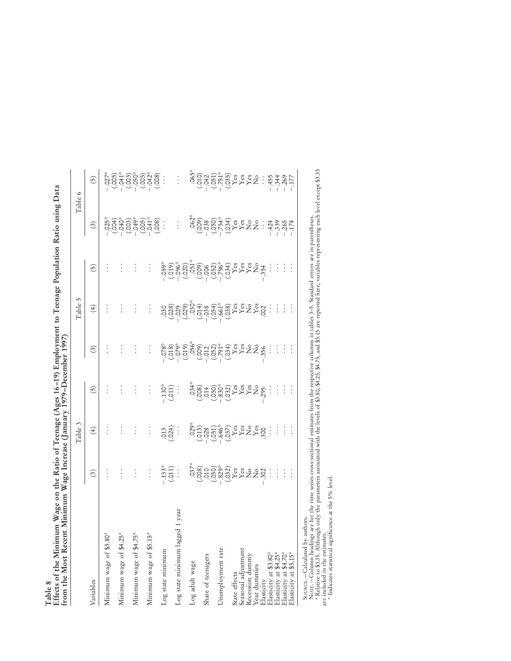| $287.88$ : $27.88$<br>$27.88$<br>$27.88$<br>$27.88$<br>$27.88$<br>$27.88$<br>$27.88$<br>$27.88$<br>$27.88$<br>$27.88$<br>$27.88$<br>$27.88$<br>$\vdots$<br>$\widehat{5}$<br>$\begin{array}{c} 25^*\\ -2042^*\\ -1040^*\\ -1040^*\\ -1040^*\\ -1000^*\\ -1000^*\\ -1000^*\\ -1000^*\\ -1000^*\\ -1000\\ -1000^*\\ -1000\\ -1000\\ -1000\\ -1000\\ -1000\\ -1000\\ -1000\\ -1000\\ -1000\\ -1000\\ -1000\\ -1000\\ -1000\\ -1000\\ -1000\\ -1000\\ -1000\\ -1000\\ -1000\\ -1000\\ -$<br>$\vdots$<br>$-1330$<br>$-174$<br>$-174$<br>$-174$<br>$\widehat{c}$<br>$\begin{array}{l} \text{\small{5\AA}}\\[-2.0ex] \text{\small{5\AA}}\\[-2.0ex] \text{\small{5\AA}}\\[-2.0ex] \text{\small{5\AA}}\\[-2.0ex] \text{\small{5\AA}}\\[-2.0ex] \text{\small{5\AA}}\\[-2.0ex] \text{\small{6\AA}}\\[-2.0ex] \text{\small{7\AA}}\\[-2.0ex] \text{\small{7\AA}}\\[-2.0ex] \text{\small{7\AA}}\\[-2.0ex] \text{\small{8\AA}}\\[-2.0ex] \text{\small{7\AA}}\\[-2.0ex] \text{\small{7\AA}}\\[-2.0ex] \text{\small{$<br>$\frac{1}{2}$<br>$\widetilde{5}$<br>Į.<br>$\overset{(5,6)}{3,6} \overset{(6,6)}{3,6} \overset{(7,6)}{3,6} \overset{(8,6)}{3,6} \overset{(9,6)}{3,6} \overset{(9,6)}{3,6} \overset{(9,6)}{3,6} \overset{(9,6)}{3,6} \overset{(9,6)}{3,6} \overset{(10,6)}{3,6} \overset{(11,6)}{3,6} \overset{(12,6)}{3,6} \overset{(13,6)}{3,6} \overset{(15,6)}{3,6} \overset{(16,6)}{3,6} \overset{(17,6)}{3,6} \overset{(1$<br>$\textcircled{\textcirc}$<br>$\vdots$<br>$\binom{3}{2}$<br>÷<br>Į.<br>Ì<br>$(0.130^{4}$<br>$\tilde{5}$<br>$\vdots$<br>$\bigoplus$<br>$\vdots$<br>$(013)$<br>$(024)$<br>$\vdots$<br>$\vdots$<br>Ĵ<br>$(011)$<br>(.011)<br>$\vdots$<br>$\vdots$<br>$\vdots$<br>$\vdots$<br>$\widehat{c}$<br>ged 1 year<br>្ទឹ<br>Minimum wage of \$3.8<br>Minimum wage of \$4.2<br>Minimum wage of \$4.7<br>Minimum wage of \$5.1<br>Log state minimum lag<br>Unemployment rate<br>Log state minimum<br>State effects<br>Seasonal adjustment<br>Recession dummy<br>Year dummies<br>Elasticity<br>Elasticity at \$3.80ª<br>Elasticity at \$4.25ª<br>Elasticity at \$4.70ª<br>Elasticity at \$5.15ª<br>Share of teenagers<br>Log adult wage<br>Variables | <b>WARD THE REAL PROPERTY OF THE STATE AND LESS</b> | immin Nann nain 19m<br>Table 3 |  | Table 5 | Table 6 |  |
|---------------------------------------------------------------------------------------------------------------------------------------------------------------------------------------------------------------------------------------------------------------------------------------------------------------------------------------------------------------------------------------------------------------------------------------------------------------------------------------------------------------------------------------------------------------------------------------------------------------------------------------------------------------------------------------------------------------------------------------------------------------------------------------------------------------------------------------------------------------------------------------------------------------------------------------------------------------------------------------------------------------------------------------------------------------------------------------------------------------------------------------------------------------------------------------------------------------------------------------------------------------------------------------------------------------------------------------------------------------------------------------------------------------------------------------------------------------------------------------------------------------------------------------------------------------------------------------------------------------------------------------------------------------------------------------------------------------------------------------------------------------------------------------------------------------------------------------------------------------------------------------------------------------------------------------------------------------------------------------------------------------------------------------------------------------------------------------------------------------------------------------------------------------|-----------------------------------------------------|--------------------------------|--|---------|---------|--|
|                                                                                                                                                                                                                                                                                                                                                                                                                                                                                                                                                                                                                                                                                                                                                                                                                                                                                                                                                                                                                                                                                                                                                                                                                                                                                                                                                                                                                                                                                                                                                                                                                                                                                                                                                                                                                                                                                                                                                                                                                                                                                                                                                               |                                                     |                                |  |         |         |  |
|                                                                                                                                                                                                                                                                                                                                                                                                                                                                                                                                                                                                                                                                                                                                                                                                                                                                                                                                                                                                                                                                                                                                                                                                                                                                                                                                                                                                                                                                                                                                                                                                                                                                                                                                                                                                                                                                                                                                                                                                                                                                                                                                                               |                                                     |                                |  |         |         |  |
|                                                                                                                                                                                                                                                                                                                                                                                                                                                                                                                                                                                                                                                                                                                                                                                                                                                                                                                                                                                                                                                                                                                                                                                                                                                                                                                                                                                                                                                                                                                                                                                                                                                                                                                                                                                                                                                                                                                                                                                                                                                                                                                                                               |                                                     |                                |  |         |         |  |
|                                                                                                                                                                                                                                                                                                                                                                                                                                                                                                                                                                                                                                                                                                                                                                                                                                                                                                                                                                                                                                                                                                                                                                                                                                                                                                                                                                                                                                                                                                                                                                                                                                                                                                                                                                                                                                                                                                                                                                                                                                                                                                                                                               |                                                     |                                |  |         |         |  |
|                                                                                                                                                                                                                                                                                                                                                                                                                                                                                                                                                                                                                                                                                                                                                                                                                                                                                                                                                                                                                                                                                                                                                                                                                                                                                                                                                                                                                                                                                                                                                                                                                                                                                                                                                                                                                                                                                                                                                                                                                                                                                                                                                               |                                                     |                                |  |         |         |  |
|                                                                                                                                                                                                                                                                                                                                                                                                                                                                                                                                                                                                                                                                                                                                                                                                                                                                                                                                                                                                                                                                                                                                                                                                                                                                                                                                                                                                                                                                                                                                                                                                                                                                                                                                                                                                                                                                                                                                                                                                                                                                                                                                                               |                                                     |                                |  |         |         |  |
|                                                                                                                                                                                                                                                                                                                                                                                                                                                                                                                                                                                                                                                                                                                                                                                                                                                                                                                                                                                                                                                                                                                                                                                                                                                                                                                                                                                                                                                                                                                                                                                                                                                                                                                                                                                                                                                                                                                                                                                                                                                                                                                                                               |                                                     |                                |  |         |         |  |
|                                                                                                                                                                                                                                                                                                                                                                                                                                                                                                                                                                                                                                                                                                                                                                                                                                                                                                                                                                                                                                                                                                                                                                                                                                                                                                                                                                                                                                                                                                                                                                                                                                                                                                                                                                                                                                                                                                                                                                                                                                                                                                                                                               |                                                     |                                |  |         |         |  |
|                                                                                                                                                                                                                                                                                                                                                                                                                                                                                                                                                                                                                                                                                                                                                                                                                                                                                                                                                                                                                                                                                                                                                                                                                                                                                                                                                                                                                                                                                                                                                                                                                                                                                                                                                                                                                                                                                                                                                                                                                                                                                                                                                               |                                                     |                                |  |         |         |  |
|                                                                                                                                                                                                                                                                                                                                                                                                                                                                                                                                                                                                                                                                                                                                                                                                                                                                                                                                                                                                                                                                                                                                                                                                                                                                                                                                                                                                                                                                                                                                                                                                                                                                                                                                                                                                                                                                                                                                                                                                                                                                                                                                                               |                                                     |                                |  |         |         |  |
|                                                                                                                                                                                                                                                                                                                                                                                                                                                                                                                                                                                                                                                                                                                                                                                                                                                                                                                                                                                                                                                                                                                                                                                                                                                                                                                                                                                                                                                                                                                                                                                                                                                                                                                                                                                                                                                                                                                                                                                                                                                                                                                                                               |                                                     |                                |  |         |         |  |
|                                                                                                                                                                                                                                                                                                                                                                                                                                                                                                                                                                                                                                                                                                                                                                                                                                                                                                                                                                                                                                                                                                                                                                                                                                                                                                                                                                                                                                                                                                                                                                                                                                                                                                                                                                                                                                                                                                                                                                                                                                                                                                                                                               |                                                     |                                |  |         |         |  |
|                                                                                                                                                                                                                                                                                                                                                                                                                                                                                                                                                                                                                                                                                                                                                                                                                                                                                                                                                                                                                                                                                                                                                                                                                                                                                                                                                                                                                                                                                                                                                                                                                                                                                                                                                                                                                                                                                                                                                                                                                                                                                                                                                               |                                                     |                                |  |         |         |  |
|                                                                                                                                                                                                                                                                                                                                                                                                                                                                                                                                                                                                                                                                                                                                                                                                                                                                                                                                                                                                                                                                                                                                                                                                                                                                                                                                                                                                                                                                                                                                                                                                                                                                                                                                                                                                                                                                                                                                                                                                                                                                                                                                                               |                                                     |                                |  |         |         |  |
|                                                                                                                                                                                                                                                                                                                                                                                                                                                                                                                                                                                                                                                                                                                                                                                                                                                                                                                                                                                                                                                                                                                                                                                                                                                                                                                                                                                                                                                                                                                                                                                                                                                                                                                                                                                                                                                                                                                                                                                                                                                                                                                                                               |                                                     |                                |  |         |         |  |
|                                                                                                                                                                                                                                                                                                                                                                                                                                                                                                                                                                                                                                                                                                                                                                                                                                                                                                                                                                                                                                                                                                                                                                                                                                                                                                                                                                                                                                                                                                                                                                                                                                                                                                                                                                                                                                                                                                                                                                                                                                                                                                                                                               |                                                     |                                |  |         |         |  |
|                                                                                                                                                                                                                                                                                                                                                                                                                                                                                                                                                                                                                                                                                                                                                                                                                                                                                                                                                                                                                                                                                                                                                                                                                                                                                                                                                                                                                                                                                                                                                                                                                                                                                                                                                                                                                                                                                                                                                                                                                                                                                                                                                               |                                                     |                                |  |         |         |  |
|                                                                                                                                                                                                                                                                                                                                                                                                                                                                                                                                                                                                                                                                                                                                                                                                                                                                                                                                                                                                                                                                                                                                                                                                                                                                                                                                                                                                                                                                                                                                                                                                                                                                                                                                                                                                                                                                                                                                                                                                                                                                                                                                                               |                                                     |                                |  |         |         |  |
|                                                                                                                                                                                                                                                                                                                                                                                                                                                                                                                                                                                                                                                                                                                                                                                                                                                                                                                                                                                                                                                                                                                                                                                                                                                                                                                                                                                                                                                                                                                                                                                                                                                                                                                                                                                                                                                                                                                                                                                                                                                                                                                                                               |                                                     |                                |  |         |         |  |
|                                                                                                                                                                                                                                                                                                                                                                                                                                                                                                                                                                                                                                                                                                                                                                                                                                                                                                                                                                                                                                                                                                                                                                                                                                                                                                                                                                                                                                                                                                                                                                                                                                                                                                                                                                                                                                                                                                                                                                                                                                                                                                                                                               |                                                     |                                |  |         |         |  |
|                                                                                                                                                                                                                                                                                                                                                                                                                                                                                                                                                                                                                                                                                                                                                                                                                                                                                                                                                                                                                                                                                                                                                                                                                                                                                                                                                                                                                                                                                                                                                                                                                                                                                                                                                                                                                                                                                                                                                                                                                                                                                                                                                               |                                                     |                                |  |         |         |  |
|                                                                                                                                                                                                                                                                                                                                                                                                                                                                                                                                                                                                                                                                                                                                                                                                                                                                                                                                                                                                                                                                                                                                                                                                                                                                                                                                                                                                                                                                                                                                                                                                                                                                                                                                                                                                                                                                                                                                                                                                                                                                                                                                                               |                                                     |                                |  |         |         |  |
|                                                                                                                                                                                                                                                                                                                                                                                                                                                                                                                                                                                                                                                                                                                                                                                                                                                                                                                                                                                                                                                                                                                                                                                                                                                                                                                                                                                                                                                                                                                                                                                                                                                                                                                                                                                                                                                                                                                                                                                                                                                                                                                                                               |                                                     |                                |  |         |         |  |
|                                                                                                                                                                                                                                                                                                                                                                                                                                                                                                                                                                                                                                                                                                                                                                                                                                                                                                                                                                                                                                                                                                                                                                                                                                                                                                                                                                                                                                                                                                                                                                                                                                                                                                                                                                                                                                                                                                                                                                                                                                                                                                                                                               |                                                     |                                |  |         |         |  |

SOURCE.—Calculated by authors.

NOTE.—Column headings are for the time series cross-sectional estimates from the respective columns in tables 3–5. Standard errors are in parentheses. a

NOIRCE.—Calculated by authors.<br>• Relative to \$3.55. Although only the parameters associated with the levels of \$3.80, \$4.25, \$4.75, and \$5.15 are reported here, variables representing each level except \$3.35<br>• Relative to Relative to \$3.35. Although only the parameters associated with the levels of \$3.80, \$4.25, \$4.75, and \$5.15 are reported here, variables representing each level except \$3.35 are included in the estimates.

\* Indicates statistical significance at the 5% level.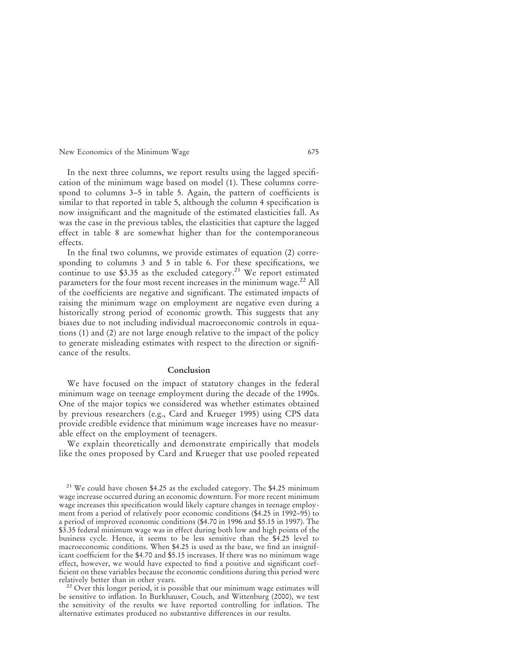In the next three columns, we report results using the lagged specification of the minimum wage based on model (1). These columns correspond to columns 3–5 in table 5. Again, the pattern of coefficients is similar to that reported in table 5, although the column 4 specification is now insignificant and the magnitude of the estimated elasticities fall. As was the case in the previous tables, the elasticities that capture the lagged effect in table 8 are somewhat higher than for the contemporaneous effects.

In the final two columns, we provide estimates of equation (2) corresponding to columns 3 and 5 in table 6. For these specifications, we continue to use \$3.35 as the excluded category.<sup>21</sup> We report estimated parameters for the four most recent increases in the minimum wage.<sup>22</sup> All of the coefficients are negative and significant. The estimated impacts of raising the minimum wage on employment are negative even during a historically strong period of economic growth. This suggests that any biases due to not including individual macroeconomic controls in equations (1) and (2) are not large enough relative to the impact of the policy to generate misleading estimates with respect to the direction or significance of the results.

#### **Conclusion**

We have focused on the impact of statutory changes in the federal minimum wage on teenage employment during the decade of the 1990s. One of the major topics we considered was whether estimates obtained by previous researchers (e.g., Card and Krueger 1995) using CPS data provide credible evidence that minimum wage increases have no measurable effect on the employment of teenagers.

We explain theoretically and demonstrate empirically that models like the ones proposed by Card and Krueger that use pooled repeated

<sup>21</sup> We could have chosen \$4.25 as the excluded category. The \$4.25 minimum wage increase occurred during an economic downturn. For more recent minimum wage increases this specification would likely capture changes in teenage employment from a period of relatively poor economic conditions (\$4.25 in 1992–95) to a period of improved economic conditions (\$4.70 in 1996 and \$5.15 in 1997). The \$3.35 federal minimum wage was in effect during both low and high points of the business cycle. Hence, it seems to be less sensitive than the \$4.25 level to macroeconomic conditions. When \$4.25 is used as the base, we find an insignificant coefficient for the \$4.70 and \$5.15 increases. If there was no minimum wage effect, however, we would have expected to find a positive and significant coefficient on these variables because the economic conditions during this period were

relatively better than in other years. <sup>22</sup> Over this longer period, it is possible that our minimum wage estimates will be sensitive to inflation. In Burkhauser, Couch, and Wittenburg (2000), we test the sensitivity of the results we have reported controlling for inflation. The alternative estimates produced no substantive differences in our results.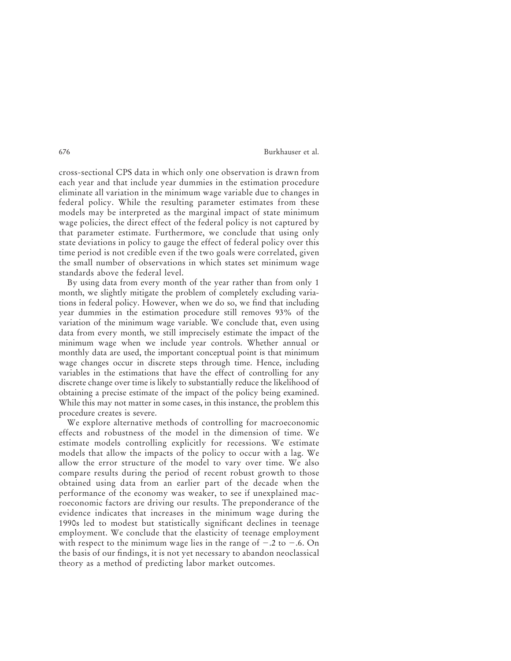cross-sectional CPS data in which only one observation is drawn from each year and that include year dummies in the estimation procedure eliminate all variation in the minimum wage variable due to changes in federal policy. While the resulting parameter estimates from these models may be interpreted as the marginal impact of state minimum wage policies, the direct effect of the federal policy is not captured by that parameter estimate. Furthermore, we conclude that using only state deviations in policy to gauge the effect of federal policy over this time period is not credible even if the two goals were correlated, given the small number of observations in which states set minimum wage standards above the federal level.

By using data from every month of the year rather than from only 1 month, we slightly mitigate the problem of completely excluding variations in federal policy. However, when we do so, we find that including year dummies in the estimation procedure still removes 93% of the variation of the minimum wage variable. We conclude that, even using data from every month, we still imprecisely estimate the impact of the minimum wage when we include year controls. Whether annual or monthly data are used, the important conceptual point is that minimum wage changes occur in discrete steps through time. Hence, including variables in the estimations that have the effect of controlling for any discrete change over time is likely to substantially reduce the likelihood of obtaining a precise estimate of the impact of the policy being examined. While this may not matter in some cases, in this instance, the problem this procedure creates is severe.

We explore alternative methods of controlling for macroeconomic effects and robustness of the model in the dimension of time. We estimate models controlling explicitly for recessions. We estimate models that allow the impacts of the policy to occur with a lag. We allow the error structure of the model to vary over time. We also compare results during the period of recent robust growth to those obtained using data from an earlier part of the decade when the performance of the economy was weaker, to see if unexplained macroeconomic factors are driving our results. The preponderance of the evidence indicates that increases in the minimum wage during the 1990s led to modest but statistically significant declines in teenage employment. We conclude that the elasticity of teenage employment with respect to the minimum wage lies in the range of  $-.2$  to  $-.6$ . On the basis of our findings, it is not yet necessary to abandon neoclassical theory as a method of predicting labor market outcomes.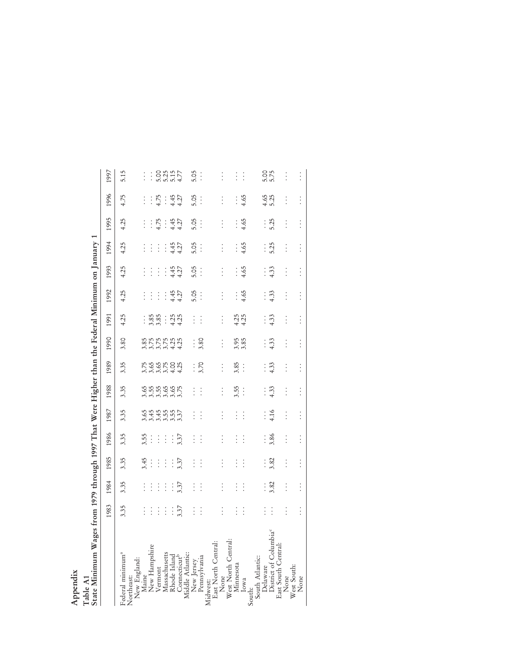| Appendix                                                                                                      |          |          |          |          |                     |                       |                              |                  |                  |          |          |          |          |                |          |
|---------------------------------------------------------------------------------------------------------------|----------|----------|----------|----------|---------------------|-----------------------|------------------------------|------------------|------------------|----------|----------|----------|----------|----------------|----------|
| State Minimum Wages from 1979 through 1997 That Were Higher than the Federal Minimum on January 1<br>Table A1 |          |          |          |          |                     |                       |                              |                  |                  |          |          |          |          |                |          |
|                                                                                                               | 1983     | 1984     | 1985     | 1986     | 1987                | 1988                  | 1989                         | 1990             | 1991             | 1992     | 1993     | 1994     | 1995     | 1996           | 1997     |
| Federal minimum <sup>a</sup>                                                                                  | 3.35     | 3.35     | 3.35     | 3.35     | 3.35                | 3.35                  | 3.35                         | 3.80             | 4.25             | 4.25     | 4.25     | 4.25     | 4.25     | 4.75           | 5.15     |
| New England:<br>Northeast:                                                                                    |          |          |          |          |                     |                       |                              |                  |                  |          |          |          |          |                |          |
| Maine                                                                                                         | $\vdots$ | $\vdots$ | 3.45     | 3.55     |                     |                       |                              |                  | $\vdots$         | $\vdots$ | $\vdots$ | $\vdots$ | $\vdots$ | $\vdots$       | $\vdots$ |
| New Hampshire                                                                                                 | $\vdots$ | $\vdots$ | $\vdots$ | $\vdots$ |                     |                       |                              |                  |                  | $\vdots$ | $\vdots$ | $\vdots$ | $\vdots$ |                | $\vdots$ |
| Vermont                                                                                                       | $\vdots$ | $\vdots$ | $\vdots$ | $\vdots$ |                     |                       |                              |                  | 3.85<br>3.85     | $\vdots$ | $\vdots$ | $\vdots$ | 4.75     | 4.75           |          |
| Massachusetts                                                                                                 | $\vdots$ | $\vdots$ | $\vdots$ | $\vdots$ |                     |                       |                              |                  | $\vdots$         | $\vdots$ |          |          | $\vdots$ | $\vdots$       |          |
| Rhode Island                                                                                                  | $\vdots$ | $\vdots$ | $\vdots$ | $\vdots$ |                     |                       |                              |                  |                  | 4.45     | 4.45     | 4.45     | 4.45     | 4.45           |          |
| Connecticut <sup>b</sup>                                                                                      | 3.37     | 3.37     | 3.37     | 3.37     | るようさきょう<br>ふれいこうじょう | tennengen<br>Singsten | nggnga<br>Kingkon<br>Kingkon | 855534<br>855544 | $4.25$<br>$4.25$ | 4.27     | 4.27     | 4.27     | 4.27     | 4.27           |          |
| Middle Atlantic:                                                                                              |          |          |          |          |                     |                       |                              |                  |                  |          |          |          |          |                |          |
| New Jersey                                                                                                    | $\vdots$ | $\vdots$ | $\vdots$ | $\vdots$ | $\vdots$            | $\vdots$              | $\vdots$                     | $\vdots$         | $\vdots$         | 5.05     | 5.05     | 5.05     | 5.05     | 5.05           | 5.05     |
| Pennsylvania                                                                                                  | $\vdots$ | $\vdots$ | $\vdots$ | $\vdots$ | $\vdots$            | $\vdots$              | 3.70                         | 3.80             | $\vdots$         | $\vdots$ | $\vdots$ | $\vdots$ | $\vdots$ | $\vdots$       | $\vdots$ |
| Midwest:                                                                                                      |          |          |          |          |                     |                       |                              |                  |                  |          |          |          |          |                |          |
| East North Central:                                                                                           |          |          |          |          |                     |                       |                              |                  |                  |          |          |          |          |                |          |
| None                                                                                                          | $\vdots$ | $\vdots$ | $\vdots$ | $\vdots$ | $\vdots$            | $\vdots$              | $\vdots$                     | $\vdots$         | $\vdots$         | $\vdots$ | $\vdots$ | $\vdots$ | $\vdots$ | $\vdots$       | $\vdots$ |
| West North Central:                                                                                           |          |          |          |          |                     |                       |                              |                  |                  |          |          |          |          |                |          |
| Minnesota                                                                                                     | $\vdots$ | $\vdots$ | $\vdots$ | $\vdots$ | $\vdots$            | 3.55                  | 3.85                         | 3.85<br>3.85     | $4.25$<br>$4.25$ | $\vdots$ | $\vdots$ | $\vdots$ | $\vdots$ | $\vdots$       | $\vdots$ |
| Iowa                                                                                                          | $\vdots$ | $\vdots$ | $\vdots$ | $\vdots$ | $\vdots$            | $\vdots$              | $\vdots$                     |                  |                  | 4.65     | 4.65     | 4.65     | 4.65     | 4.65           | $\vdots$ |
| South:                                                                                                        |          |          |          |          |                     |                       |                              |                  |                  |          |          |          |          |                |          |
| South Atlantic:                                                                                               |          |          |          |          |                     |                       |                              |                  |                  |          |          |          |          |                |          |
| Delaware                                                                                                      | $\vdots$ | $\vdots$ | $\vdots$ | $\vdots$ | $\vdots$            | $\vdots$              | $\vdots$                     | $\vdots$         | $\vdots$         | $\vdots$ | $\vdots$ | $\vdots$ | $\vdots$ |                |          |
| District of Columbia <sup>c</sup>                                                                             | $\vdots$ | 3.82     | 3.82     | 3.86     | 4.16                | 4.33                  | 4.33                         | 4.33             | 4.33             | 4.33     | 4.33     | 5.25     | 5.25     | $4.65$<br>5.25 | 5.75     |
| East South Central:                                                                                           |          |          |          |          |                     |                       |                              |                  |                  |          |          |          |          |                |          |
| None                                                                                                          | $\vdots$ | $\vdots$ | $\vdots$ | $\vdots$ | $\vdots$            | $\vdots$              | $\vdots$                     | $\vdots$         | $\vdots$         | $\vdots$ | $\vdots$ | $\vdots$ | $\vdots$ | $\vdots$       | $\vdots$ |
| West South:                                                                                                   |          |          |          |          |                     |                       |                              |                  |                  |          |          |          |          |                |          |
| None                                                                                                          | $\vdots$ | $\vdots$ | $\vdots$ | $\vdots$ | $\vdots$            | $\vdots$              | $\vdots$                     | $\vdots$         | $\vdots$         | $\vdots$ | $\vdots$ | $\vdots$ | $\vdots$ | $\vdots$       | $\vdots$ |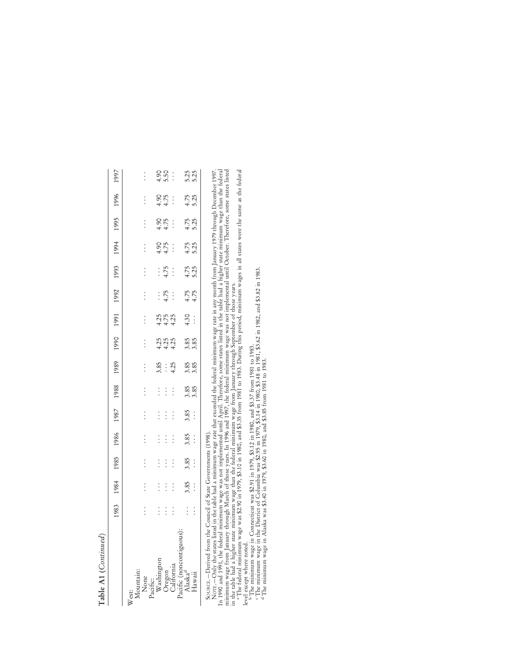|                                                                                                                                                                                                                                                                                                                                | 1983     |          | 1984 1985 1986 |          | 1987     | 1988                                   | 1989                                   | 1990                                   | . 1991              |          | 1992 1993    | 1994 1995    |                | 1996         | 1997           |
|--------------------------------------------------------------------------------------------------------------------------------------------------------------------------------------------------------------------------------------------------------------------------------------------------------------------------------|----------|----------|----------------|----------|----------|----------------------------------------|----------------------------------------|----------------------------------------|---------------------|----------|--------------|--------------|----------------|--------------|----------------|
| West:                                                                                                                                                                                                                                                                                                                          |          |          |                |          |          |                                        |                                        |                                        |                     |          |              |              |                |              |                |
| Mountain:                                                                                                                                                                                                                                                                                                                      |          |          |                |          |          |                                        |                                        |                                        |                     |          |              |              |                |              |                |
| None                                                                                                                                                                                                                                                                                                                           | $\vdots$ | $\vdots$ | $\vdots$       | $\vdots$ | $\vdots$ | $\vdots$                               | $\vdots$                               | $\vdots$                               | $\vdots$            | $\vdots$ | $\vdots$     | $\vdots$     | $\vdots$       | $\vdots$     | $\vdots$       |
| Pacific:                                                                                                                                                                                                                                                                                                                       |          |          |                |          |          |                                        |                                        |                                        |                     |          |              |              |                |              |                |
|                                                                                                                                                                                                                                                                                                                                | $\vdots$ | $\vdots$ | $\vdots$       | $\vdots$ | $\vdots$ | $\vdots$                               | 3.85                                   | 4.25                                   |                     | $\vdots$ | $\vdots$     | 06+          | 4.90           |              |                |
|                                                                                                                                                                                                                                                                                                                                | $\vdots$ | $\vdots$ | $\vdots$       | $\vdots$ | $\vdots$ | $\vdots$                               | $\vdots$                               | $4.25$<br>$4.25$                       | 4.75<br>4.75<br>4.4 | 4.75     | 4.75         | 4.75         | 4.75           | 4.75         | $4.50$<br>5.50 |
| California                                                                                                                                                                                                                                                                                                                     | $\vdots$ | $\vdots$ | $\vdots$       | $\vdots$ | $\vdots$ | $\vdots$                               | 4.25                                   |                                        |                     | $\vdots$ | $\vdots$     | $\vdots$     | $\vdots$       | $\vdots$     | $\vdots$       |
| Pacific (noncontiguous)                                                                                                                                                                                                                                                                                                        |          |          |                |          |          |                                        |                                        |                                        |                     |          |              |              |                |              |                |
| $\mathrm{Alaska}^\mathrm{d}$                                                                                                                                                                                                                                                                                                   | $\vdots$ | 3.85     | 3.85           | 3.85     | 3.85     | $3.\overline{85}$<br>$3.\overline{85}$ | $3.\overline{85}$<br>$3.\overline{85}$ | $3.\overline{85}$<br>$3.\overline{85}$ | 4.30                | 4.75     | 4.75<br>5.25 | 4.75<br>5.25 | $4.75$<br>5.25 | 4.75<br>5.25 | 5.25           |
| Hawaii                                                                                                                                                                                                                                                                                                                         | $\vdots$ | $\vdots$ | $\vdots$       | $\vdots$ | $\vdots$ |                                        |                                        |                                        | $\vdots$            | 4.75     |              |              |                |              |                |
| SOURCE.-Derived from the Council of State Governments (1998).                                                                                                                                                                                                                                                                  |          |          |                |          |          |                                        |                                        |                                        |                     |          |              |              |                |              |                |
| NOTE.—Only the states listed in the table had a minimum wage rate that exceeded the federal minimum wage rate in any month from January 1979 through December 1997.<br>In 1990 to the federal minimum wase not implemented until A nril Therefore, some states listed in the table had a higher state minimum wase the federal |          |          |                |          |          |                                        |                                        |                                        |                     |          |              |              |                |              |                |

In 1990 and 1991, the federal minimum wage was not implemented until April. Therefore, some states listed in the table had a higher state minimum wage than the federal minimum wage from January through March of those years. In 1996 and 1997, the federal minimum wage was not implemental until October. Therefore, some states listed

in the table had a higher state minimum wage than the federal minimum wage from January through September of those years. m 1790 and 1791, ne rederal minimum wage was not impediated until April. Lefettore, some states new an en a angier state minimum wage trans in the table had a higher state minimum wage than the federal minimum wage then th The federal minimum wage was \$2.90 in 1979, \$3.10 in 1980, and \$3.35 from 1981 to 1983. During this period, minimum wages in all states were the same as the federal

level except where noted.<br><sup>b</sup> The minimum wage in Connecticut was \$2.91 in 1979, \$3.12 in 1980, and \$3.37 from 1981 to 1983. level except where noted.

 $\frac{6}{10}$  The minimum wage in Connecticut was \$2.91 in 1979, \$3.12 in 1980, and \$3.37 from 1981 to 1983.<br>
"The minimum wage in the District of Columbia was \$2.95 in 1979, \$3.14 in 1980, \$3.48 in 1981, \$3.62 in 1982, and The minimum wage in the District of Columbia was \$2.95 in 1979, \$3.14 in 1980, \$3.48 in 1981, \$3.62 in 1982, and \$3.82 in 1983.<br><sup>d</sup> The minimum wage in Alaska was \$3.40 in 1979, \$3.60 in 1980, and \$3.85 from 1981 to 1983.

# Table A1 (Continued) **Table A1 (***Continued*)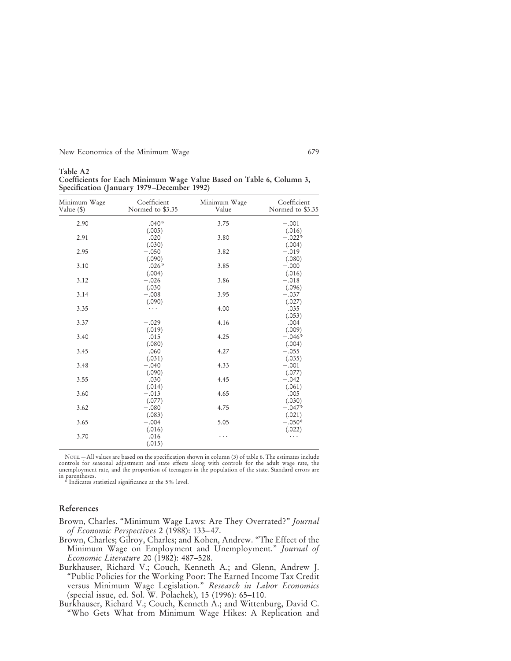| Minimum Wage<br>Value (\$) | Coefficient<br>Normed to \$3.35 | Minimum Wage<br>Value | Coefficient<br>Normed to \$3.35 |
|----------------------------|---------------------------------|-----------------------|---------------------------------|
|                            |                                 |                       |                                 |
| 2.91                       | .020<br>(.030)                  | 3.80                  | $-.022*$<br>(.004)              |
| 2.95                       | $-.050$<br>(.090)               | 3.82                  | $-.019$<br>(.080)               |
| 3.10                       | $.026*$<br>(.004)               | 3.85                  | $-.000$<br>(.016)               |
| 3.12                       | $-.026$<br>(.030                | 3.86                  | $-.018$<br>(.096)               |
| 3.14                       | $-.008$<br>(.090)               | 3.95                  | $-.037$<br>(.027)               |
| 3.35                       | .                               | 4.00                  | .035<br>(.053)                  |
| 3.37                       | $-.029$<br>(.019)               | 4.16                  | .004<br>(.009)                  |
| 3.40                       | .015<br>(.080)                  | 4.25                  | $-.046*$<br>(.004)              |
| 3.45                       | .060<br>(.031)                  | 4.27                  | $-.055$<br>(.035)               |
| 3.48                       | $-.040$<br>(.090)               | 4.33                  | $-.001$<br>(.077)               |
| 3.55                       | .030<br>(.014)                  | 4.45                  | $-.042$<br>(.061)               |
| 3.60                       | $-.013$<br>(.077)               | 4.65                  | .005<br>(.030)                  |
| 3.62                       | $-.080$<br>(.083)               | 4.75                  | $-.047*$<br>(.021)              |
| 3.65                       | $-.004$<br>(.016)               | 5.05                  | $-.050*$<br>(.022)              |
| 3.70                       | .016<br>(.015)                  | .                     | .                               |

**Table A2 Coefficients for Each Minimum Wage Value Based on Table 6, Column 3, Specification (January 1979–December 1992)**

NOTE.—All values are based on the specification shown in column (3) of table 6. The estimates include controls for seasonal adjustment and state effects along with controls for the adult wage rate, the unemployment rate, and the proportion of teenagers in the population of the state. Standard errors are in parentheses.

\* Indicates statistical significance at the 5% level.

#### **References**

- Brown, Charles. "Minimum Wage Laws: Are They Overrated?" *Journal of Economic Perspectives* 2 (1988): 133–47.
- Brown, Charles; Gilroy, Charles; and Kohen, Andrew. "The Effect of the Minimum Wage on Employment and Unemployment." *Journal of Economic Literature* 20 (1982): 487–528.

Burkhauser, Richard V.; Couch, Kenneth A.; and Glenn, Andrew J. "Public Policies for the Working Poor: The Earned Income Tax Credit versus Minimum Wage Legislation." *Research in Labor Economics* (special issue, ed. Sol. W. Polachek), 15 (1996): 65–110.

Burkhauser, Richard V.; Couch, Kenneth A.; and Wittenburg, David C. "Who Gets What from Minimum Wage Hikes: A Replication and